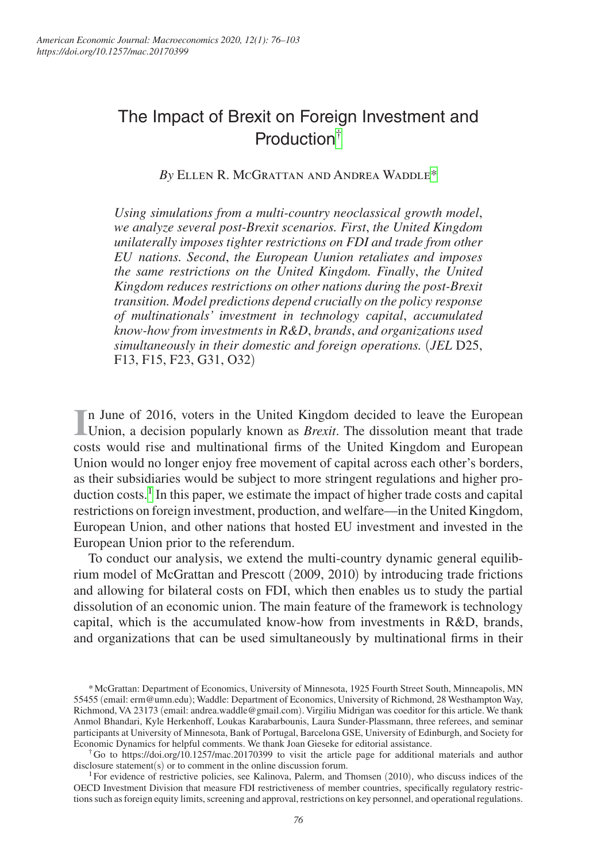# The Impact of Brexit on Foreign Investment and Production[†](#page-0-0)

*By* Ellen R. McGrattan and Andrea Waddle[\\*](#page-0-1)

*Using simulations from a multi-country neoclassical growth model*, *we analyze several post-Brexit scenarios. First*, *the United Kingdom unilaterally imposes tighter restrictions on FDI and trade from other EU nations. Second*, *the European Uunion retaliates and imposes the same restrictions on the United Kingdom. Finally*, *the United Kingdom reduces restrictions on other nations during the post-Brexit transition. Model predictions depend crucially on the policy response of multinationals' investment in technology capital*, *accumulated know-how from investments in R&D*, *brands*, *and organizations used simultaneously in their domestic and foreign operations.* (*JEL* D25, F13, F15, F23, G31, O32)

In June of 2016, voters in the United Kingdom decided to leave the European Union, a decision popularly known as *Brexit*. The dissolution meant that trade n June of 2016, voters in the United Kingdom decided to leave the European costs would rise and multinational firms of the United Kingdom and European Union would no longer enjoy free movement of capital across each other's borders, as their subsidiaries would be subject to more stringent regulations and higher pro-duction costs.<sup>[1](#page-0-2)</sup> In this paper, we estimate the impact of higher trade costs and capital restrictions on foreign investment, production, and welfare—in the United Kingdom, European Union, and other nations that hosted EU investment and invested in the European Union prior to the referendum.

To conduct our analysis, we extend the multi-country dynamic general equilibrium model of McGrattan and Prescott (2009, 2010) by introducing trade frictions and allowing for bilateral costs on FDI, which then enables us to study the partial dissolution of an economic union. The main feature of the framework is technology capital, which is the accumulated know-how from investments in R&D, brands, and organizations that can be used simultaneously by multinational firms in their

<span id="page-0-1"></span><sup>\*</sup>McGrattan: Department of Economics, University of Minnesota, 1925 Fourth Street South, Minneapolis, MN 55455 (email: [erm@umn.edu](mailto:erm@umn.edu)); Waddle: Department of Economics, University of Richmond, 28 Westhampton Way, Richmond, VA 23173 (email: [andrea.waddle@gmail.com](mailto:andrea.waddle@gmail.com)). Virgiliu Midrigan was coeditor for this article. We thank Anmol Bhandari, Kyle Herkenhoff, Loukas Karabarbounis, Laura Sunder-Plassmann, three referees, and seminar participants at University of Minnesota, Bank of Portugal, Barcelona GSE, University of Edinburgh, and Society for Economic Dynamics for helpful comments. We thank Joan Gieseke for editorial assistance.

<span id="page-0-0"></span><sup>†</sup>Go to <https://doi.org/10.1257/mac.20170399> to visit the article page for additional materials and author disclosure statement(s) or to comment in the online discussion forum.

<span id="page-0-2"></span><sup>&</sup>lt;sup>1</sup>For evidence of restrictive policies, see Kalinova, Palerm, and Thomsen (2010), who discuss indices of the OECD Investment Division that measure FDI restrictiveness of member countries, specifically regulatory restrictions such as foreign equity limits, screening and approval, restrictions on key personnel, and operational regulations.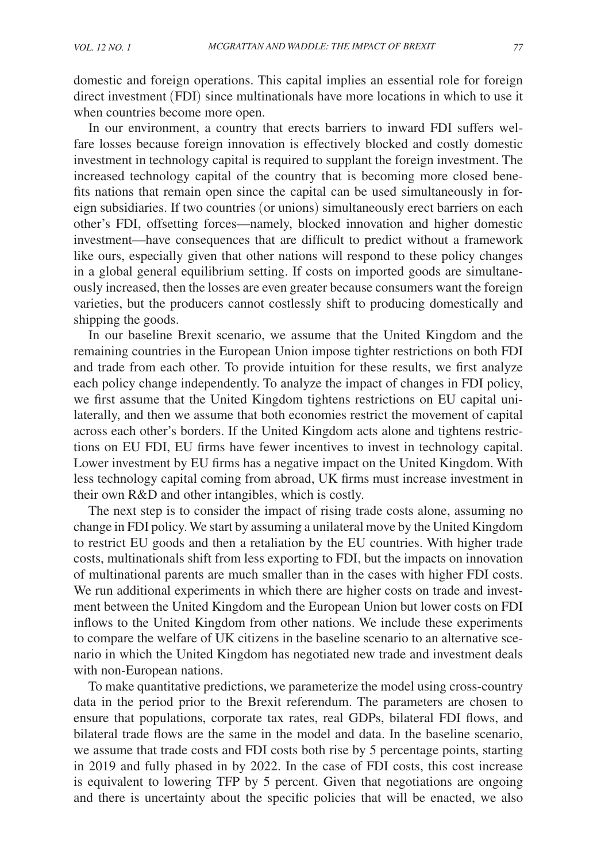domestic and foreign operations. This capital implies an essential role for foreign direct investment (FDI) since multinationals have more locations in which to use it when countries become more open.

In our environment, a country that erects barriers to inward FDI suffers welfare losses because foreign innovation is effectively blocked and costly domestic investment in technology capital is required to supplant the foreign investment. The increased technology capital of the country that is becoming more closed benefits nations that remain open since the capital can be used simultaneously in foreign subsidiaries. If two countries (or unions) simultaneously erect barriers on each other's FDI, offsetting forces—namely, blocked innovation and higher domestic investment—have consequences that are difficult to predict without a framework like ours, especially given that other nations will respond to these policy changes in a global general equilibrium setting. If costs on imported goods are simultaneously increased, then the losses are even greater because consumers want the foreign varieties, but the producers cannot costlessly shift to producing domestically and shipping the goods.

In our baseline Brexit scenario, we assume that the United Kingdom and the remaining countries in the European Union impose tighter restrictions on both FDI and trade from each other. To provide intuition for these results, we first analyze each policy change independently. To analyze the impact of changes in FDI policy, we first assume that the United Kingdom tightens restrictions on EU capital unilaterally, and then we assume that both economies restrict the movement of capital across each other's borders. If the United Kingdom acts alone and tightens restrictions on EU FDI, EU firms have fewer incentives to invest in technology capital. Lower investment by EU firms has a negative impact on the United Kingdom. With less technology capital coming from abroad, UK firms must increase investment in their own R&D and other intangibles, which is costly.

The next step is to consider the impact of rising trade costs alone, assuming no change in FDI policy. We start by assuming a unilateral move by the United Kingdom to restrict EU goods and then a retaliation by the EU countries. With higher trade costs, multinationals shift from less exporting to FDI, but the impacts on innovation of multinational parents are much smaller than in the cases with higher FDI costs. We run additional experiments in which there are higher costs on trade and investment between the United Kingdom and the European Union but lower costs on FDI inflows to the United Kingdom from other nations. We include these experiments to compare the welfare of UK citizens in the baseline scenario to an alternative scenario in which the United Kingdom has negotiated new trade and investment deals with non-European nations.

To make quantitative predictions, we parameterize the model using cross-country data in the period prior to the Brexit referendum. The parameters are chosen to ensure that populations, corporate tax rates, real GDPs, bilateral FDI flows, and bilateral trade flows are the same in the model and data. In the baseline scenario, we assume that trade costs and FDI costs both rise by 5 percentage points, starting in 2019 and fully phased in by 2022. In the case of FDI costs, this cost increase is equivalent to lowering TFP by 5 percent. Given that negotiations are ongoing and there is uncertainty about the specific policies that will be enacted, we also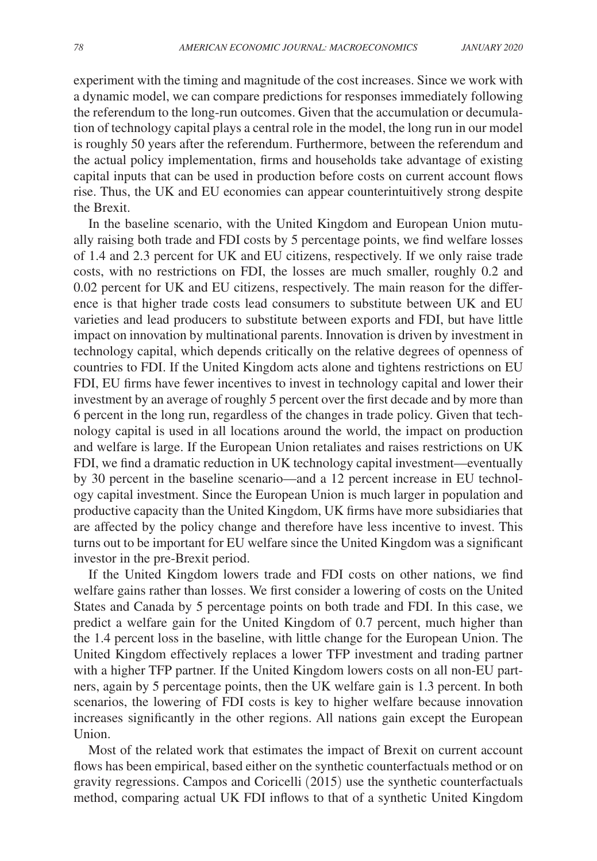experiment with the timing and magnitude of the cost increases. Since we work with a dynamic model, we can compare predictions for responses immediately following the referendum to the long-run outcomes. Given that the accumulation or decumulation of technology capital plays a central role in the model, the long run in our model is roughly 50 years after the referendum. Furthermore, between the referendum and the actual policy implementation, firms and households take advantage of existing capital inputs that can be used in production before costs on current account flows rise. Thus, the UK and EU economies can appear counterintuitively strong despite the Brexit.

In the baseline scenario, with the United Kingdom and European Union mutually raising both trade and FDI costs by 5 percentage points, we find welfare losses of 1.4 and 2.3 percent for UK and EU citizens, respectively. If we only raise trade costs, with no restrictions on FDI, the losses are much smaller, roughly 0.2 and 0.02 percent for UK and EU citizens, respectively. The main reason for the difference is that higher trade costs lead consumers to substitute between UK and EU varieties and lead producers to substitute between exports and FDI, but have little impact on innovation by multinational parents. Innovation is driven by investment in technology capital, which depends critically on the relative degrees of openness of countries to FDI. If the United Kingdom acts alone and tightens restrictions on EU FDI, EU firms have fewer incentives to invest in technology capital and lower their investment by an average of roughly 5 percent over the first decade and by more than 6 percent in the long run, regardless of the changes in trade policy. Given that technology capital is used in all locations around the world, the impact on production and welfare is large. If the European Union retaliates and raises restrictions on UK FDI, we find a dramatic reduction in UK technology capital investment—eventually by 30 percent in the baseline scenario—and a 12 percent increase in EU technology capital investment. Since the European Union is much larger in population and productive capacity than the United Kingdom, UK firms have more subsidiaries that are affected by the policy change and therefore have less incentive to invest. This turns out to be important for EU welfare since the United Kingdom was a significant investor in the pre-Brexit period.

If the United Kingdom lowers trade and FDI costs on other nations, we find welfare gains rather than losses. We first consider a lowering of costs on the United States and Canada by 5 percentage points on both trade and FDI. In this case, we predict a welfare gain for the United Kingdom of 0.7 percent, much higher than the 1.4 percent loss in the baseline, with little change for the European Union. The United Kingdom effectively replaces a lower TFP investment and trading partner with a higher TFP partner. If the United Kingdom lowers costs on all non-EU partners, again by 5 percentage points, then the UK welfare gain is 1.3 percent. In both scenarios, the lowering of FDI costs is key to higher welfare because innovation increases significantly in the other regions. All nations gain except the European Union.

Most of the related work that estimates the impact of Brexit on current account flows has been empirical, based either on the synthetic counterfactuals method or on gravity regressions. Campos and Coricelli (2015) use the synthetic counterfactuals method, comparing actual UK FDI inflows to that of a synthetic United Kingdom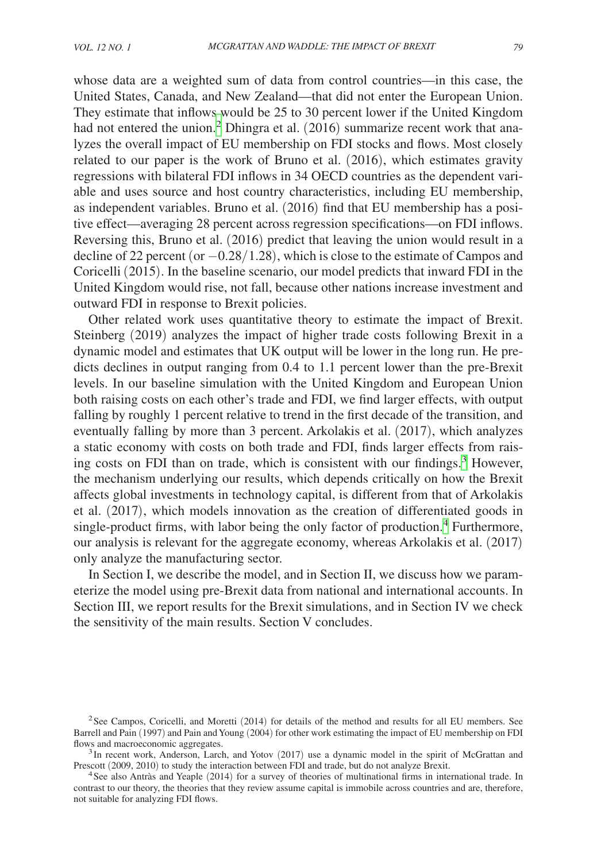whose data are a weighted sum of data from control countries—in this case, the United States, Canada, and New Zealand—that did not enter the European Union. They estimate that inflows would be 25 to 30 percent lower if the United Kingdom had not entered the union.<sup>[2](#page-3-0)</sup> Dhingra et al. (2016) summarize recent work that analyzes the overall impact of EU membership on FDI stocks and flows. Most closely related to our paper is the work of Bruno et al. (2016), which estimates gravity regressions with bilateral FDI inflows in 34 OECD countries as the dependent variable and uses source and host country characteristics, including EU membership, as independent variables. Bruno et al. (2016) find that EU membership has a positive effect—averaging 28 percent across regression specifications—on FDI inflows. Reversing this, Bruno et al. (2016) predict that leaving the union would result in a decline of 22 percent (or −0.28/1.28), which is close to the estimate of Campos and Coricelli (2015). In the baseline scenario, our model predicts that inward FDI in the United Kingdom would rise, not fall, because other nations increase investment and outward FDI in response to Brexit policies.

Other related work uses quantitative theory to estimate the impact of Brexit. Steinberg (2019) analyzes the impact of higher trade costs following Brexit in a dynamic model and estimates that UK output will be lower in the long run. He predicts declines in output ranging from 0.4 to 1.1 percent lower than the pre-Brexit levels. In our baseline simulation with the United Kingdom and European Union both raising costs on each other's trade and FDI, we find larger effects, with output falling by roughly 1 percent relative to trend in the first decade of the transition, and eventually falling by more than 3 percent. Arkolakis et al. (2017), which analyzes a static economy with costs on both trade and FDI, finds larger effects from rais-ing costs on FDI than on trade, which is consistent with our findings.<sup>[3](#page-3-1)</sup> However, the mechanism underlying our results, which depends critically on how the Brexit affects global investments in technology capital, is different from that of Arkolakis et al. (2017), which models innovation as the creation of differentiated goods in single-product firms, with labor being the only factor of production.<sup>[4](#page-3-2)</sup> Furthermore, our analysis is relevant for the aggregate economy, whereas Arkolakis et al. (2017) only analyze the manufacturing sector.

In Section I, we describe the model, and in Section II, we discuss how we parameterize the model using pre-Brexit data from national and international accounts. In Section III, we report results for the Brexit simulations, and in Section IV we check the sensitivity of the main results. Section V concludes.

<span id="page-3-0"></span><sup>&</sup>lt;sup>2</sup> See Campos, Coricelli, and Moretti (2014) for details of the method and results for all EU members. See Barrell and Pain (1997) and Pain and Young (2004) for other work estimating the impact of EU membership on FDI flows and macroeconomic aggregates.

<span id="page-3-1"></span> $3$ In recent work, Anderson, Larch, and Yotov (2017) use a dynamic model in the spirit of McGrattan and Prescott (2009, 2010) to study the interaction between FDI and trade, but do not analyze Brexit.

<span id="page-3-2"></span><sup>&</sup>lt;sup>4</sup> See also Antràs and Yeaple (2014) for a survey of theories of multinational firms in international trade. In contrast to our theory, the theories that they review assume capital is immobile across countries and are, therefore, not suitable for analyzing FDI flows.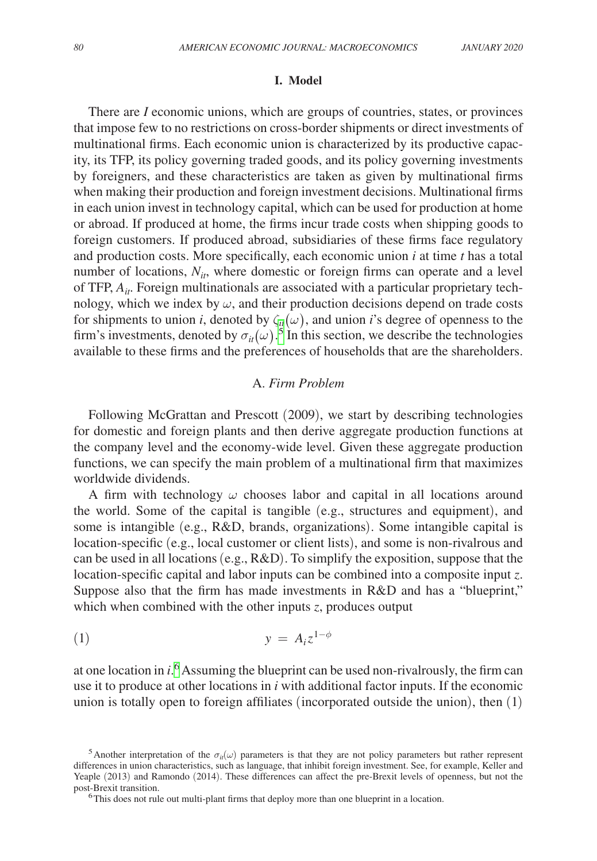#### **I. Model**

There are *I* economic unions, which are groups of countries, states, or provinces that impose few to no restrictions on cross-border shipments or direct investments of multinational firms. Each economic union is characterized by its productive capacity, its TFP, its policy governing traded goods, and its policy governing investments by foreigners, and these characteristics are taken as given by multinational firms when making their production and foreign investment decisions. Multinational firms in each union invest in technology capital, which can be used for production at home or abroad. If produced at home, the firms incur trade costs when shipping goods to foreign customers. If produced abroad, subsidiaries of these firms face regulatory and production costs. More specifically, each economic union *i* at time *t* has a total number of locations,  $N_{it}$ , where domestic or foreign firms can operate and a level of TFP, *Ait*. Foreign multinationals are associated with a particular proprietary technology, which we index by  $\omega$ , and their production decisions depend on trade costs for shipments to union *i*, denoted by  $\zeta_i(\omega)$ , and union *i*'s degree of openness to the firm's investments, denoted by  $\sigma_{it}(\omega)$ .<sup>[5](#page-4-0)</sup> In this section, we describe the technologies available to these firms and the preferences of households that are the shareholders.

# A. *Firm Problem*

Following McGrattan and Prescott (2009), we start by describing technologies for domestic and foreign plants and then derive aggregate production functions at the company level and the economy-wide level. Given these aggregate production functions, we can specify the main problem of a multinational firm that maximizes worldwide dividends.

A firm with technology  $\omega$  chooses labor and capital in all locations around the world. Some of the capital is tangible (e.g., structures and equipment), and some is intangible (e.g., R&D, brands, organizations). Some intangible capital is location-specific (e.g., local customer or client lists), and some is non-rivalrous and can be used in all locations (e.g., R&D). To simplify the exposition, suppose that the location-specific capital and labor inputs can be combined into a composite input *z*. Suppose also that the firm has made investments in R&D and has a "blueprint," which when combined with the other inputs *z*, produces output

$$
(1) \t\t y = A_i z^{1-\phi}
$$

at one location in *i*. [6](#page-4-1) Assuming the blueprint can be used non-rivalrously, the firm can use it to produce at other locations in *i* with additional factor inputs. If the economic union is totally open to foreign affiliates (incorporated outside the union), then  $(1)$ 

<span id="page-4-0"></span><sup>&</sup>lt;sup>5</sup>Another interpretation of the  $\sigma_{it}(\omega)$  parameters is that they are not policy parameters but rather represent differences in union characteristics, such as language, that inhibit foreign investment. See, for example, Keller and Yeaple (2013) and Ramondo (2014). These differences can affect the pre-Brexit levels of openness, but not the post-Brexit transition.

<span id="page-4-1"></span><sup>&</sup>lt;sup>6</sup>This does not rule out multi-plant firms that deploy more than one blueprint in a location.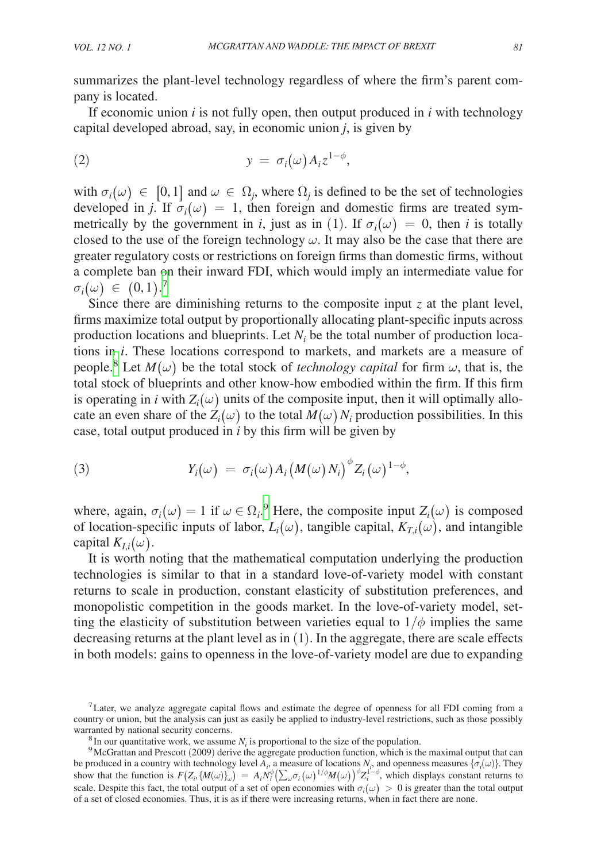summarizes the plant-level technology regardless of where the firm's parent company is located.

If economic union *i* is not fully open, then output produced in *i* with technology capital developed abroad, say, in economic union *j*, is given by

$$
(2) \t\t y = \sigma_i(\omega) A_i z^{1-\phi},
$$

with  $\sigma_i(\omega) \in [0,1]$  and  $\omega \in \Omega_j$ , where  $\Omega_j$  is defined to be the set of technologies developed in *j*. If  $\sigma_i(\omega) = 1$ , then foreign and domestic firms are treated symmetrically by the government in *i*, just as in (1). If  $\sigma_i(\omega) = 0$ , then *i* is totally closed to the use of the foreign technology  $\omega$ . It may also be the case that there are greater regulatory costs or restrictions on foreign firms than domestic firms, without a complete ban on their inward FDI, which would imply an intermediate value for  $\sigma_i(\omega) \in (0,1).^7$  $\sigma_i(\omega) \in (0,1).^7$ 

Since there are diminishing returns to the composite input  $\zeta$  at the plant level, firms maximize total output by proportionally allocating plant-specific inputs across production locations and blueprints. Let  $N_i$  be the total number of production locations in *i*. These locations correspond to markets, and markets are a measure of people.<sup>[8](#page-5-1)</sup> Let  $M(\omega)$  be the total stock of *technology capital* for firm  $\omega$ , that is, the total stock of blueprints and other know-how embodied within the firm. If this firm is operating in *i* with  $Z_i(\omega)$  units of the composite input, then it will optimally allocate an even share of the  $Z_i(\omega)$  to the total  $M(\omega)$  *N<sub>i</sub>* production possibilities. In this case, total output produced in  $\hat{i}$  by this firm will be given by

(3) 
$$
Y_i(\omega) = \sigma_i(\omega) A_i (M(\omega) N_i)^{\phi} Z_i(\omega)^{1-\phi},
$$

where, again,  $\sigma_i(\omega) = 1$  if  $\omega \in \Omega_i$ <sup>[9](#page-5-2)</sup> Here, the composite input  $Z_i(\omega)$  is composed of location-specific inputs of labor,  $L_i(\omega)$ , tangible capital,  $K_{T,i}(\omega)$ , and intangible capital  $K_{Li}(\omega)$ .

It is worth noting that the mathematical computation underlying the production technologies is similar to that in a standard love-of-variety model with constant returns to scale in production, constant elasticity of substitution preferences, and monopolistic competition in the goods market. In the love-of-variety model, setting the elasticity of substitution between varieties equal to  $1/\phi$  implies the same decreasing returns at the plant level as in (1). In the aggregate, there are scale effects in both models: gains to openness in the love-of-variety model are due to expanding

<span id="page-5-0"></span><sup>7</sup>Later, we analyze aggregate capital flows and estimate the degree of openness for all FDI coming from a country or union, but the analysis can just as easily be applied to industry-level restrictions, such as those possibly

<span id="page-5-2"></span><span id="page-5-1"></span> ${}^{8}$  In our quantitative work, we assume *N<sub>i</sub>* is proportional to the size of the population.

<sup>&</sup>lt;sup>9</sup>McGrattan and Prescott (2009) derive the aggregate production function, which is the maximal output that can be produced in a country with technology level  $A_i$ , a measure of locations  $N_i$ , and openness measures  $\{\sigma_i(\omega)\}$ . They show that the function is  $F(Z_i, \{M(\omega)\}_{\omega}) = A_i N_i^{\phi} \left(\sum_{\omega} \sigma_i(\omega)\right)^{1/\phi} M(\omega) \right)^{\phi} Z_i^{1-\phi}$ , which displays constant returns to scale. Despite this fact, the total output of a set of open economies with  $\sigma_i(\omega) > 0$  is greater than the total output of a set of closed economies. Thus, it is as if there were increasing returns, when in fact there are none.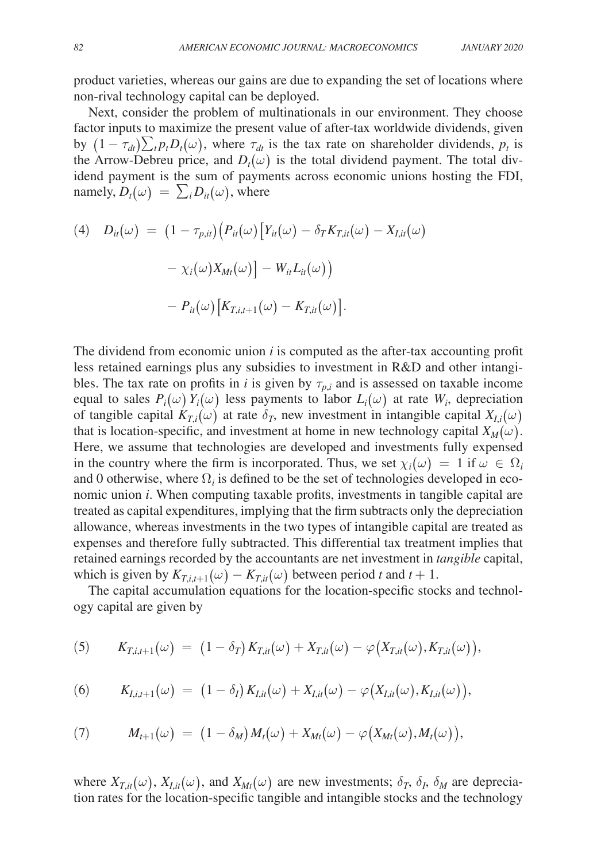product varieties, whereas our gains are due to expanding the set of locations where non-rival technology capital can be deployed.

Next, consider the problem of multinationals in our environment. They choose factor inputs to maximize the present value of after-tax worldwide dividends, given by  $(1 - \tau_{dt})\sum_{t} p_t D_t(\omega)$ , where  $\tau_{dt}$  is the tax rate on shareholder dividends,  $p_t$  is the Arrow-Debreu price, and  $D_t(\omega)$  is the total dividend payment. The total dividend payment is the sum of payments across economic unions hosting the FDI, namely,  $D_t(\omega) = \sum_i D_{it}(\omega)$ , where

(4) 
$$
D_{it}(\omega) = (1 - \tau_{p,it}) \left( P_{it}(\omega) \left[ Y_{it}(\omega) - \delta_T K_{T,it}(\omega) - X_{I,it}(\omega) \right] \right)
$$

$$
- \chi_i(\omega) X_{Mt}(\omega) \left[ - W_{it} L_{it}(\omega) \right)
$$

$$
- P_{it}(\omega) \left[ K_{T,i,t+1}(\omega) - K_{T,i}(\omega) \right].
$$

The dividend from economic union *i* is computed as the after-tax accounting profit less retained earnings plus any subsidies to investment in R&D and other intangibles. The tax rate on profits in *i* is given by  $\tau_{p,i}$  and is assessed on taxable income equal to sales  $P_i(\omega) Y_i(\omega)$  less payments to labor  $L_i(\omega)$  at rate  $W_i$ , depreciation of tangible capital  $K_{T,i}(\omega)$  at rate  $\delta_T$ , new investment in intangible capital  $X_{I,i}(\omega)$ that is location-specific, and investment at home in new technology capital  $X_M(\omega)$ . Here, we assume that technologies are developed and investments fully expensed in the country where the firm is incorporated. Thus, we set  $\chi_i(\omega) = 1$  if  $\omega \in \Omega_i$ and 0 otherwise, where  $\Omega_i$  is defined to be the set of technologies developed in economic union *i*. When computing taxable profits, investments in tangible capital are treated as capital expenditures, implying that the firm subtracts only the depreciation allowance, whereas investments in the two types of intangible capital are treated as expenses and therefore fully subtracted. This differential tax treatment implies that retained earnings recorded by the accountants are net investment in *tangible* capital, which is given by  $K_{T,i,t+1}(\omega) - K_{T,i}( \omega)$  between period *t* and *t* + 1.

The capital accumulation equations for the location-specific stocks and technology capital are given by

$$
(5) \qquad K_{T,i,t+1}(\omega) = (1-\delta_T) K_{T,i}( \omega) + X_{T,i}( \omega) - \varphi \big( X_{T,i}( \omega), K_{T,i}( \omega) \big),
$$

(6) 
$$
K_{I,i,t+1}(\omega) = (1-\delta_I)K_{I,i,t}(\omega) + X_{I,i,t}(\omega) - \varphi(X_{I,i,t}(\omega), K_{I,i,t}(\omega)),
$$

(7) 
$$
M_{t+1}(\omega) = (1 - \delta_M) M_t(\omega) + X_{Mt}(\omega) - \varphi(X_{Mt}(\omega), M_t(\omega)),
$$

where  $X_{T,i}( \omega)$ ,  $X_{I,i}( \omega)$ , and  $X_{Mt}( \omega)$  are new investments;  $\delta_T$ ,  $\delta_I$ ,  $\delta_M$  are depreciation rates for the location-specific tangible and intangible stocks and the technology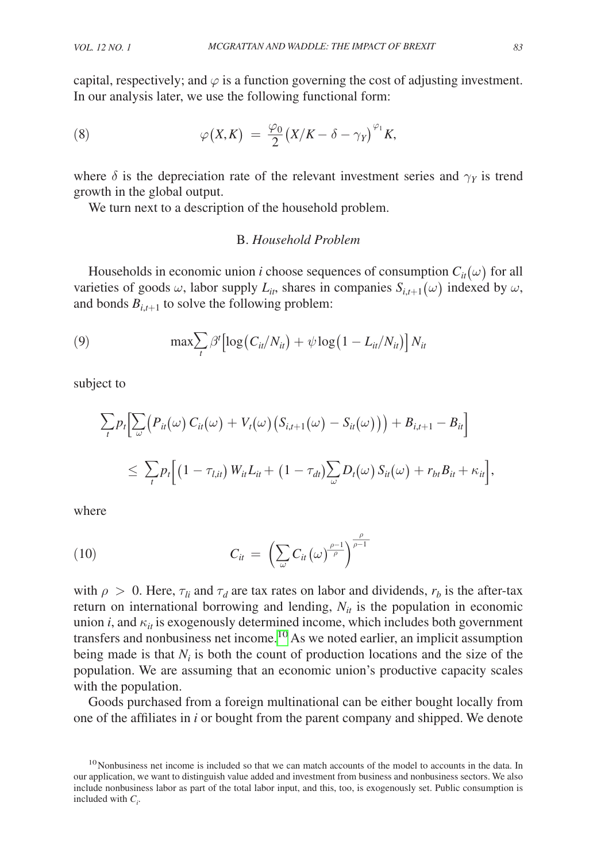capital, respectively; and  $\varphi$  is a function governing the cost of adjusting investment. In our analysis later, we use the following functional form:

(8) 
$$
\varphi(X,K) = \frac{\varphi_0}{2} (X/K - \delta - \gamma_Y)^{\varphi_1} K,
$$

where  $\delta$  is the depreciation rate of the relevant investment series and  $\gamma$ <sup>*y*</sup> is trend growth in the global output.

We turn next to a description of the household problem.

# B. *Household Problem*

Households in economic union *i* choose sequences of consumption  $C_{ii}(\omega)$  for all varieties of goods  $\omega$ , labor supply  $L_{it}$ , shares in companies  $S_{i,t+1}(\omega)$  indexed by  $\omega$ , and bonds  $B_{i,t+1}$  to solve the following problem:

(9) 
$$
\max \sum_{t} \beta^{t} \left[ \log \left( C_{it} / N_{it} \right) + \psi \log \left( 1 - L_{it} / N_{it} \right) \right] N_{it}
$$

subject to

$$
\sum_{t} p_{t} \Big[ \sum_{\omega} \Big( P_{it}(\omega) C_{it}(\omega) + V_{t}(\omega) \big( S_{i,t+1}(\omega) - S_{it}(\omega) \big) \Big) + B_{i,t+1} - B_{it} \Big]
$$
  

$$
\leq \sum_{t} p_{t} \Big[ \big( 1 - \tau_{l,it} \big) W_{it} L_{it} + \big( 1 - \tau_{dt} \big) \sum_{\omega} D_{t}(\omega) S_{it}(\omega) + r_{bt} B_{it} + \kappa_{it} \Big],
$$

where

(10) 
$$
C_{it} = \left(\sum_{\omega} C_{it} (\omega)^{\frac{\rho-1}{\rho}}\right)^{\frac{\rho}{\rho-1}}
$$

with  $\rho > 0$ . Here,  $\tau_{li}$  and  $\tau_d$  are tax rates on labor and dividends,  $r_b$  is the after-tax return on international borrowing and lending,  $N_{it}$  is the population in economic union  $i$ , and  $\kappa_{it}$  is exogenously determined income, which includes both government transfers and nonbusiness net income.[10](#page-7-0) As we noted earlier, an implicit assumption being made is that  $N_i$  is both the count of production locations and the size of the population. We are assuming that an economic union's productive capacity scales with the population.

Goods purchased from a foreign multinational can be either bought locally from one of the affiliates in *i* or bought from the parent company and shipped. We denote

<span id="page-7-0"></span><sup>&</sup>lt;sup>10</sup>Nonbusiness net income is included so that we can match accounts of the model to accounts in the data. In our application, we want to distinguish value added and investment from business and nonbusiness sectors. We also include nonbusiness labor as part of the total labor input, and this, too, is exogenously set. Public consumption is included with  $C_i$ .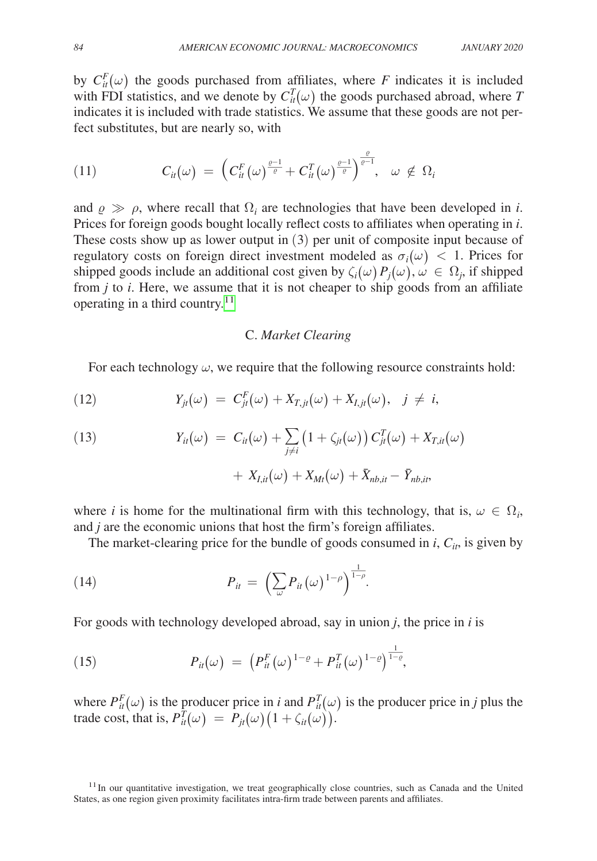by  $C_{it}^F(\omega)$  the goods purchased from affiliates, where *F* indicates it is included with FDI statistics, and we denote by  $C_{it}^T(\omega)$  the goods purchased abroad, where *T* indicates it is included with trade statistics. We assume that these goods are not perfect substitutes, but are nearly so, with

(11) 
$$
C_{it}(\omega) = \left(C_{it}^F(\omega)^{\frac{\varrho-1}{\varrho}} + C_{it}^T(\omega)^{\frac{\varrho-1}{\varrho}}\right)^{\frac{\varrho}{\varrho-1}}, \quad \omega \notin \Omega_i
$$

and  $\varrho \gg \rho$ , where recall that  $\Omega_i$  are technologies that have been developed in *i*. Prices for foreign goods bought locally reflect costs to affiliates when operating in *i*. These costs show up as lower output in (3) per unit of composite input because of regulatory costs on foreign direct investment modeled as  $\sigma_i(\omega)$  < 1. Prices for shipped goods include an additional cost given by  $\zeta_i(\omega) P_j(\omega)$ ,  $\omega \in \Omega_j$ , if shipped from *j* to *i*. Here, we assume that it is not cheaper to ship goods from an affiliate operating in a third country.<sup>[11](#page-8-0)</sup>

# C. *Market Clearing*

For each technology  $\omega$ , we require that the following resource constraints hold:

(12) 
$$
Y_{jt}(\omega) = C_{jt}^F(\omega) + X_{T,jt}(\omega) + X_{I,jt}(\omega), \quad j \neq i,
$$

(13) 
$$
Y_{it}(\omega) = C_{it}(\omega) + \sum_{j \neq i} \left(1 + \zeta_{jt}(\omega)\right) C_{jt}^T(\omega) + X_{T, it}(\omega) + X_{I, it}(\omega) + X_{Mt}(\omega) + \bar{X}_{M}, \quad \bar{Y}_{nb, it} - \bar{Y}_{nb, it},
$$

where *i* is home for the multinational firm with this technology, that is,  $\omega \in \Omega_i$ , and *j* are the economic unions that host the firm's foreign affiliates.

The market-clearing price for the bundle of goods consumed in  $i$ ,  $C_{it}$ , is given by

(14) 
$$
P_{it} = \left(\sum_{\omega} P_{it}(\omega)^{1-\rho}\right)^{\frac{1}{1-\rho}}.
$$

For goods with technology developed abroad, say in union *j*, the price in *i* is

(15) 
$$
P_{ii}(\omega) = (P_{ii}^F(\omega)^{1-\varrho} + P_{ii}^T(\omega)^{1-\varrho})^{\frac{1}{1-\varrho}},
$$

where  $P_{it}^F(\omega)$  is the producer price in *i* and  $P_{it}^T(\omega)$  is the producer price in *j* plus the trade cost, that is,  $P_{it}^{T}(\omega) = P_{jt}(\omega) (1 + \zeta_{it}(\omega)).$ 

<span id="page-8-0"></span><sup>&</sup>lt;sup>11</sup>In our quantitative investigation, we treat geographically close countries, such as Canada and the United States, as one region given proximity facilitates intra-firm trade between parents and affiliates.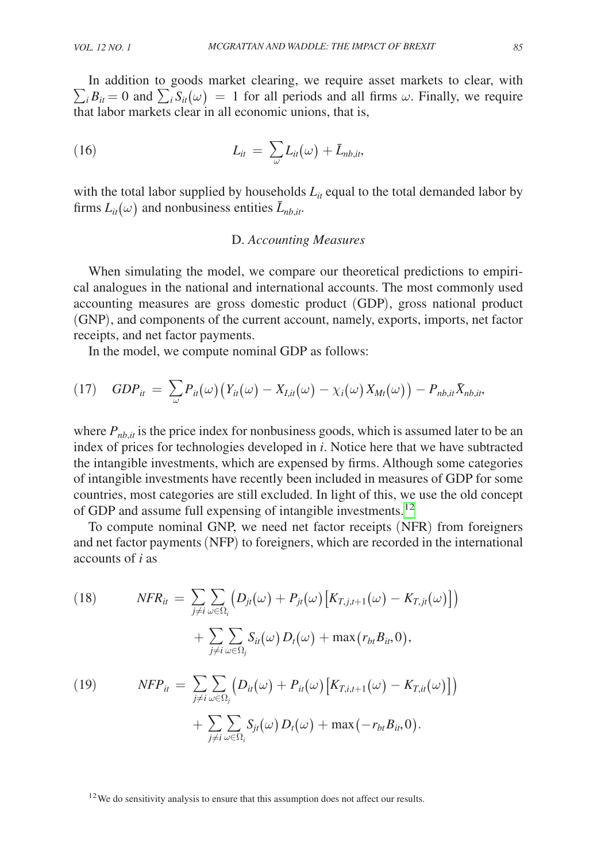In addition to goods market clearing, we require asset markets to clear, with  $\sum_i B_{it} = 0$  and  $\sum_i S_{it}(\omega) = 1$  for all periods and all firms  $\omega$ . Finally, we require that labor markets clear in all economic unions, that is,

(16) 
$$
L_{it} = \sum_{\omega} L_{it}(\omega) + \bar{L}_{nb,it},
$$

with the total labor supplied by households  $L_{it}$  equal to the total demanded labor by firms  $L_{it}(\omega)$  and nonbusiness entities  $\bar{L}_{nb,it}$ .

### D. *Accounting Measures*

When simulating the model, we compare our theoretical predictions to empirical analogues in the national and international accounts. The most commonly used accounting measures are gross domestic product (GDP), gross national product (GNP), and components of the current account, namely, exports, imports, net factor receipts, and net factor payments.

In the model, we compute nominal GDP as follows:

$$
(17) \quad GDP_{it} = \sum_{\omega} P_{it}(\omega) \big( Y_{it}(\omega) - X_{I,it}(\omega) - \chi_i(\omega) X_{Mt}(\omega) \big) - P_{nb,it} \bar{X}_{nb,it},
$$

where  $P_{nb,i}$  is the price index for nonbusiness goods, which is assumed later to be an index of prices for technologies developed in *i*. Notice here that we have subtracted the intangible investments, which are expensed by firms. Although some categories of intangible investments have recently been included in measures of GDP for some countries, most categories are still excluded. In light of this, we use the old concept of GDP and assume full expensing of intangible investments.<sup>[12](#page-9-0)</sup>

To compute nominal GNP, we need net factor receipts (NFR) from foreigners and net factor payments (NFP) to foreigners, which are recorded in the international accounts of *i* as

(18) 
$$
NFR_{it} = \sum_{j \neq i} \sum_{\omega \in \Omega_i} \left( D_{jt}(\omega) + P_{jt}(\omega) \left[ K_{T,j,t+1}(\omega) - K_{T,jt}(\omega) \right] \right) + \sum_{j \neq i} \sum_{\omega \in \Omega_j} S_{it}(\omega) D_t(\omega) + \max(r_{bt}B_{it}, 0),
$$

(19) 
$$
NFP_{it} = \sum_{j \neq i} \sum_{\omega \in \Omega_j} \left( D_{it}(\omega) + P_{it}(\omega) \left[ K_{T,i,t+1}(\omega) - K_{T,i,t}(\omega) \right] \right) + \sum_{j \neq i} \sum_{\omega \in \Omega_i} S_{jt}(\omega) D_t(\omega) + \max(-r_{bt}B_{it}, 0).
$$

<span id="page-9-0"></span> $12$  We do sensitivity analysis to ensure that this assumption does not affect our results.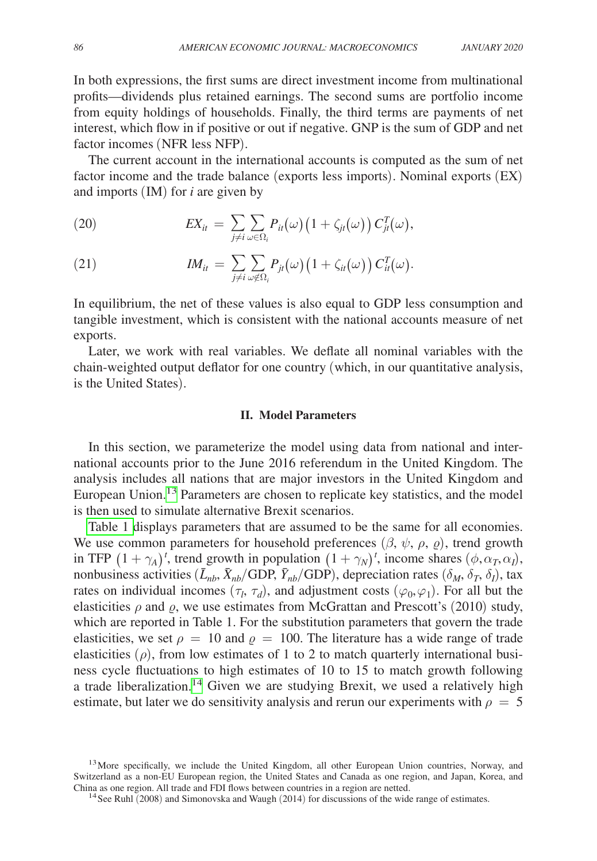In both expressions, the first sums are direct investment income from multinational profits—dividends plus retained earnings. The second sums are portfolio income from equity holdings of households. Finally, the third terms are payments of net interest, which flow in if positive or out if negative. GNP is the sum of GDP and net factor incomes (NFR less NFP).

The current account in the international accounts is computed as the sum of net factor income and the trade balance (exports less imports). Nominal exports (EX) and imports (IM) for *i* are given by

(20) 
$$
EX_{it} = \sum_{j \neq i} \sum_{\omega \in \Omega_i} P_{it}(\omega) \left(1 + \zeta_{jt}(\omega)\right) C_{jt}^T(\omega),
$$

(21) 
$$
IM_{it} = \sum_{j \neq i} \sum_{\omega \notin \Omega_i} P_{jt}(\omega) \left(1 + \zeta_{it}(\omega)\right) C_{it}^T(\omega).
$$

In equilibrium, the net of these values is also equal to GDP less consumption and tangible investment, which is consistent with the national accounts measure of net exports.

Later, we work with real variables. We deflate all nominal variables with the chain-weighted output deflator for one country (which, in our quantitative analysis, is the United States).

#### **II. Model Parameters**

In this section, we parameterize the model using data from national and international accounts prior to the June 2016 referendum in the United Kingdom. The analysis includes all nations that are major investors in the United Kingdom and European Union.[13](#page-10-0) Parameters are chosen to replicate key statistics, and the model is then used to simulate alternative Brexit scenarios.

[Table 1 d](#page-11-0)isplays parameters that are assumed to be the same for all economies. We use common parameters for household preferences  $(\beta, \psi, \rho, \rho)$ , trend growth in TFP  $(1 + \gamma_A)^t$ , trend growth in population  $(1 + \gamma_N)^t$ , income shares  $(\phi, \alpha_T, \alpha_I)$ , nonbusiness activities  $(\bar{L}_{nb}, \bar{X}_{nb}/GDP, \bar{Y}_{nb}/GDP)$ , depreciation rates  $(\delta_M, \delta_T, \delta_l)$ , tax rates on individual incomes  $(\tau_l, \tau_d)$ , and adjustment costs  $(\varphi_0, \varphi_1)$ . For all but the elasticities  $\rho$  and  $\rho$ , we use estimates from McGrattan and Prescott's (2010) study, which are reported in Table 1. For the substitution parameters that govern the trade elasticities, we set  $\rho = 10$  and  $\rho = 100$ . The literature has a wide range of trade elasticities  $(\rho)$ , from low estimates of 1 to 2 to match quarterly international business cycle fluctuations to high estimates of 10 to 15 to match growth following a trade liberalization.<sup>14</sup> Given we are studying Brexit, we used a relatively high estimate, but later we do sensitivity analysis and rerun our experiments with  $\rho = 5$ 

<span id="page-10-0"></span><sup>&</sup>lt;sup>13</sup> More specifically, we include the United Kingdom, all other European Union countries, Norway, and Switzerland as a non-EU European region, the United States and Canada as one region, and Japan, Korea, and China as one region. All trade and FDI flows between countries in a region are netted.<br><sup>14</sup>See Ruhl (2008) and Simonovska and Waugh (2014) for discussions of the wide range of estimates.

<span id="page-10-1"></span>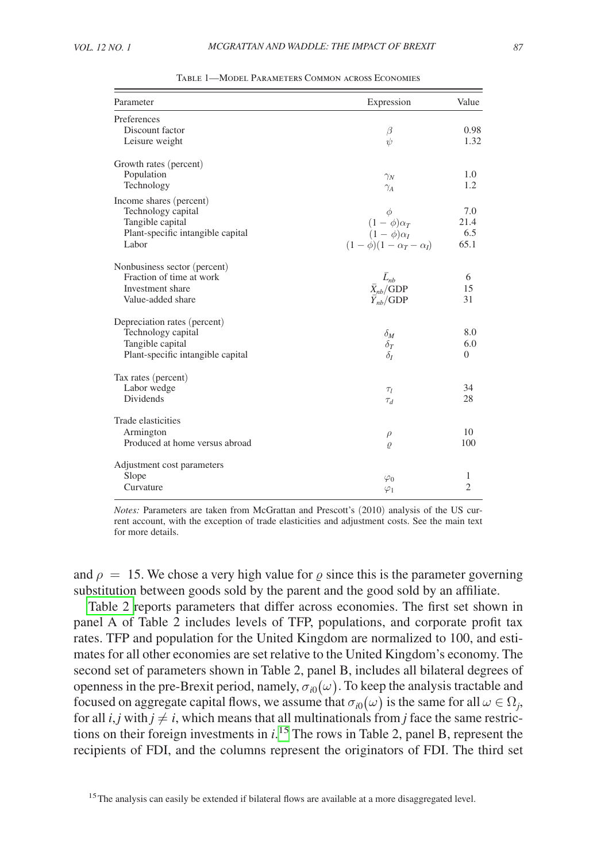<span id="page-11-0"></span>

| Parameter                         | Expression                                                                                         | Value          |
|-----------------------------------|----------------------------------------------------------------------------------------------------|----------------|
| Preferences                       |                                                                                                    |                |
| Discount factor                   | $\beta$                                                                                            | 0.98           |
| Leisure weight                    | $\psi$                                                                                             | 1.32           |
| Growth rates (percent)            |                                                                                                    |                |
| Population                        | $\gamma_N$                                                                                         | 1.0            |
| Technology                        | $\gamma_A$                                                                                         | 1.2            |
| Income shares (percent)           |                                                                                                    |                |
| Technology capital                | $\phi$                                                                                             | 7.0            |
| Tangible capital                  | $\begin{array}{c} (1-\phi)\alpha_T\\ (1-\phi)\alpha_I\\ (1-\phi)(1-\alpha_T-\alpha_I) \end{array}$ | 21.4           |
| Plant-specific intangible capital |                                                                                                    | 6.5            |
| Labor                             |                                                                                                    | 65.1           |
| Nonbusiness sector (percent)      |                                                                                                    |                |
| Fraction of time at work          | $\bar{L}_{nb}$                                                                                     | 6              |
| Investment share                  | $\bar{X}_{nb}/\overset{\cdots}{\text{GDP}}$                                                        | 15             |
| Value-added share                 | $\bar{Y}_{nb}/GDP$                                                                                 | 31             |
| Depreciation rates (percent)      |                                                                                                    |                |
| Technology capital                | $\delta_M$                                                                                         | 8.0            |
| Tangible capital                  | $\delta_T$                                                                                         | 6.0            |
| Plant-specific intangible capital | $\delta_I$                                                                                         | $\Omega$       |
| Tax rates (percent)               |                                                                                                    |                |
| Labor wedge                       | $\tau_l$                                                                                           | 34             |
| Dividends                         | $\tau_d$                                                                                           | 28             |
| Trade elasticities                |                                                                                                    |                |
| Armington                         | $\rho$                                                                                             | 10             |
| Produced at home versus abroad    | $\varrho$                                                                                          | 100            |
|                                   |                                                                                                    |                |
| Adjustment cost parameters        |                                                                                                    |                |
| Slope                             | $\varphi_0$                                                                                        | 1              |
| Curvature                         | $\varphi_1$                                                                                        | $\overline{c}$ |

Table 1—Model Parameters Common across Economies

*Notes:* Parameters are taken from McGrattan and Prescott's (2010) analysis of the US current account, with the exception of trade elasticities and adjustment costs. See the main text for more details.

and  $\rho = 15$ . We chose a very high value for  $\rho$  since this is the parameter governing substitution between goods sold by the parent and the good sold by an affiliate.

[Table 2](#page-12-0) reports parameters that differ across economies. The first set shown in panel A of Table 2 includes levels of TFP, populations, and corporate profit tax rates. TFP and population for the United Kingdom are normalized to 100, and estimates for all other economies are set relative to the United Kingdom's economy. The second set of parameters shown in Table 2, panel B, includes all bilateral degrees of openness in the pre-Brexit period, namely,  $\sigma_{i0}(\omega)$ . To keep the analysis tractable and focused on aggregate capital flows, we assume that  $\sigma_{i0}(\omega)$  is the same for all  $\omega \in \Omega_j$ , for all *i*,*j* with  $j \neq i$ , which means that all multinationals from *j* face the same restrictions on their foreign investments in  $i$ <sup>[15](#page-11-1)</sup>. The rows in Table 2, panel B, represent the recipients of FDI, and the columns represent the originators of FDI. The third set

<span id="page-11-1"></span><sup>&</sup>lt;sup>15</sup>The analysis can easily be extended if bilateral flows are available at a more disaggregated level.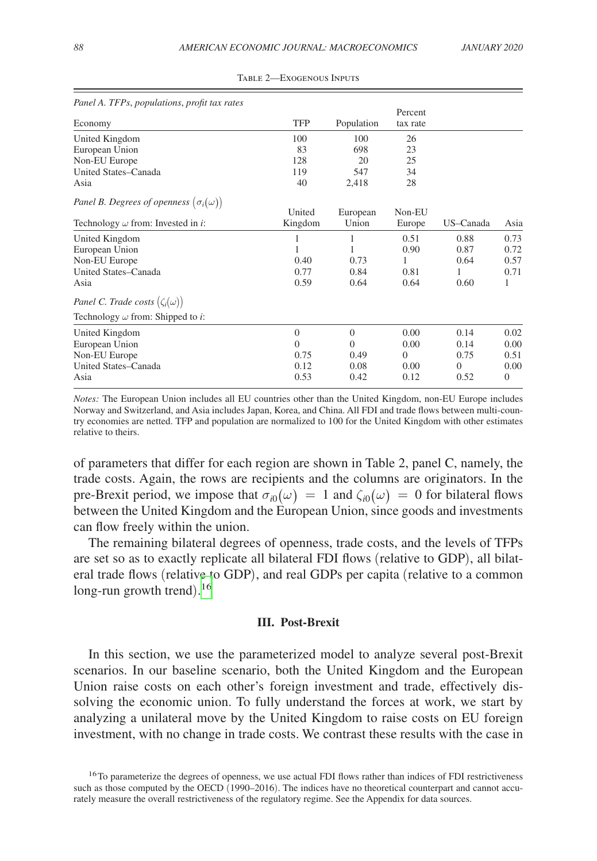<span id="page-12-0"></span>

| 100      | 100            | 26         |                     |                |
|----------|----------------|------------|---------------------|----------------|
| 83       | 698            | 23         |                     |                |
| 128      | 20             | 25         |                     |                |
| 119      | 547            | 34         |                     |                |
| 40       | 2,418          | 28         |                     |                |
|          |                |            |                     |                |
| United   | European       | Non-EU     |                     |                |
| Kingdom  | Union          | Europe     | US-Canada           | Asia           |
| 1        | 1              | 0.51       | 0.88                | 0.73           |
|          | 1              | 0.90       | 0.87                | 0.72           |
| 0.40     | 0.73           | 1          | 0.64                | 0.57           |
| 0.77     | 0.84           | 0.81       | 1                   | 0.71           |
| 0.59     | 0.64           | 0.64       | 0.60                | 1              |
|          |                |            |                     |                |
|          |                |            |                     |                |
| $\Omega$ | $\overline{0}$ | 0.00       | 0.14                | 0.02           |
| $\Omega$ | $\overline{0}$ | 0.00       | 0.14                | 0.00           |
| 0.75     | 0.49           | $\Omega$   | 0.75                | 0.51           |
| 0.12     | 0.08           | 0.00       | $\theta$            | 0.00           |
| 0.53     | 0.42           | 0.12       | 0.52                | $\overline{0}$ |
|          | <b>TFP</b>     | Population | Percent<br>tax rate |                |

Table 2—Exogenous Inputs

*Notes:* The European Union includes all EU countries other than the United Kingdom, non-EU Europe includes Norway and Switzerland, and Asia includes Japan, Korea, and China. All FDI and trade flows between multi-country economies are netted. TFP and population are normalized to 100 for the United Kingdom with other estimates relative to theirs.

of parameters that differ for each region are shown in Table 2, panel C, namely, the trade costs. Again, the rows are recipients and the columns are originators. In the pre-Brexit period, we impose that  $\sigma_{i0}(\omega) = 1$  and  $\zeta_{i0}(\omega) = 0$  for bilateral flows between the United Kingdom and the European Union, since goods and investments can flow freely within the union.

The remaining bilateral degrees of openness, trade costs, and the levels of TFPs are set so as to exactly replicate all bilateral FDI flows (relative to GDP), all bilateral trade flows (relative to GDP), and real GDPs per capita (relative to a common long-run growth trend).<sup>[16](#page-12-1)</sup>

#### **III. Post-Brexit**

In this section, we use the parameterized model to analyze several post-Brexit scenarios. In our baseline scenario, both the United Kingdom and the European Union raise costs on each other's foreign investment and trade, effectively dissolving the economic union. To fully understand the forces at work, we start by analyzing a unilateral move by the United Kingdom to raise costs on EU foreign investment, with no change in trade costs. We contrast these results with the case in

<span id="page-12-1"></span><sup>&</sup>lt;sup>16</sup>To parameterize the degrees of openness, we use actual FDI flows rather than indices of FDI restrictiveness such as those computed by the OECD (1990–2016). The indices have no theoretical counterpart and cannot accurately measure the overall restrictiveness of the regulatory regime. See the Appendix for data sources.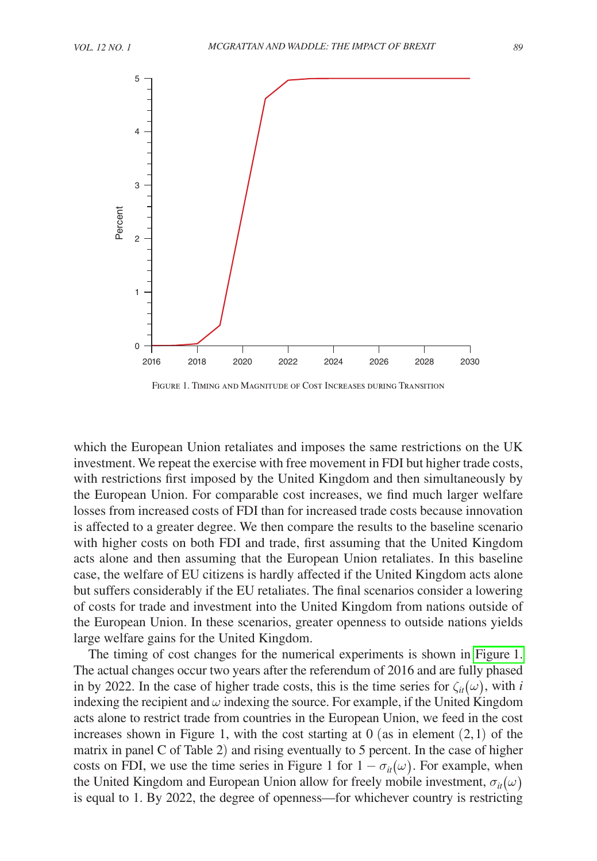

Figure 1. Timing and Magnitude of Cost Increases during Transition

which the European Union retaliates and imposes the same restrictions on the UK investment. We repeat the exercise with free movement in FDI but higher trade costs, with restrictions first imposed by the United Kingdom and then simultaneously by the European Union. For comparable cost increases, we find much larger welfare losses from increased costs of FDI than for increased trade costs because innovation is affected to a greater degree. We then compare the results to the baseline scenario with higher costs on both FDI and trade, first assuming that the United Kingdom acts alone and then assuming that the European Union retaliates. In this baseline case, the welfare of EU citizens is hardly affected if the United Kingdom acts alone but suffers considerably if the EU retaliates. The final scenarios consider a lowering of costs for trade and investment into the United Kingdom from nations outside of the European Union. In these scenarios, greater openness to outside nations yields large welfare gains for the United Kingdom.

The timing of cost changes for the numerical experiments is shown in Figure 1. The actual changes occur two years after the referendum of 2016 and are fully phased in by 2022. In the case of higher trade costs, this is the time series for  $\zeta_{it}(\omega)$ , with *i* indexing the recipient and  $\omega$  indexing the source. For example, if the United Kingdom acts alone to restrict trade from countries in the European Union, we feed in the cost increases shown in Figure 1, with the cost starting at  $0$  (as in element  $(2,1)$  of the matrix in panel C of Table 2) and rising eventually to 5 percent. In the case of higher costs on FDI, we use the time series in Figure 1 for  $1 - \sigma_{it}(\omega)$ . For example, when the United Kingdom and European Union allow for freely mobile investment,  $\sigma_{it}(\omega)$ is equal to 1. By 2022, the degree of openness—for whichever country is restricting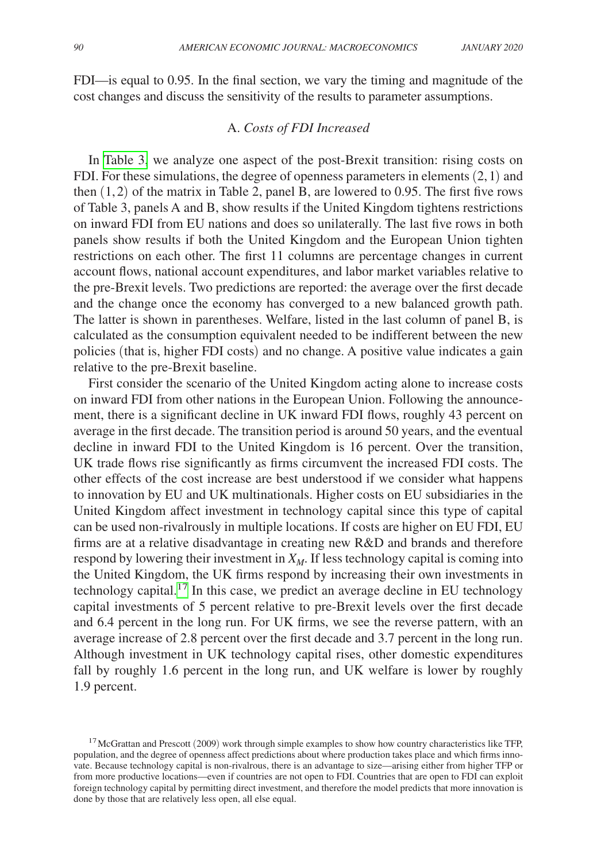FDI—is equal to 0.95. In the final section, we vary the timing and magnitude of the cost changes and discuss the sensitivity of the results to parameter assumptions.

#### A. *Costs of FDI Increased*

In [Table 3,](#page-15-0) we analyze one aspect of the post-Brexit transition: rising costs on FDI. For these simulations, the degree of openness parameters in elements  $(2,1)$  and then (1,2) of the matrix in Table 2, panel B, are lowered to 0.95. The first five rows of Table 3, panels A and B, show results if the United Kingdom tightens restrictions on inward FDI from EU nations and does so unilaterally. The last five rows in both panels show results if both the United Kingdom and the European Union tighten restrictions on each other. The first 11 columns are percentage changes in current account flows, national account expenditures, and labor market variables relative to the pre-Brexit levels. Two predictions are reported: the average over the first decade and the change once the economy has converged to a new balanced growth path. The latter is shown in parentheses. Welfare, listed in the last column of panel B, is calculated as the consumption equivalent needed to be indifferent between the new policies (that is, higher FDI costs) and no change. A positive value indicates a gain relative to the pre-Brexit baseline.

First consider the scenario of the United Kingdom acting alone to increase costs on inward FDI from other nations in the European Union. Following the announcement, there is a significant decline in UK inward FDI flows, roughly 43 percent on average in the first decade. The transition period is around 50 years, and the eventual decline in inward FDI to the United Kingdom is 16 percent. Over the transition, UK trade flows rise significantly as firms circumvent the increased FDI costs. The other effects of the cost increase are best understood if we consider what happens to innovation by EU and UK multinationals. Higher costs on EU subsidiaries in the United Kingdom affect investment in technology capital since this type of capital can be used non-rivalrously in multiple locations. If costs are higher on EU FDI, EU firms are at a relative disadvantage in creating new R&D and brands and therefore respond by lowering their investment in  $X_M$ . If less technology capital is coming into the United Kingdom, the UK firms respond by increasing their own investments in technology capital.[17](#page-14-0) In this case, we predict an average decline in EU technology capital investments of 5 percent relative to pre-Brexit levels over the first decade and 6.4 percent in the long run. For UK firms, we see the reverse pattern, with an average increase of 2.8 percent over the first decade and 3.7 percent in the long run. Although investment in UK technology capital rises, other domestic expenditures fall by roughly 1.6 percent in the long run, and UK welfare is lower by roughly 1.9 percent.

<span id="page-14-0"></span><sup>&</sup>lt;sup>17</sup>McGrattan and Prescott (2009) work through simple examples to show how country characteristics like TFP, population, and the degree of openness affect predictions about where production takes place and which firms innovate. Because technology capital is non-rivalrous, there is an advantage to size—arising either from higher TFP or from more productive locations—even if countries are not open to FDI. Countries that are open to FDI can exploit foreign technology capital by permitting direct investment, and therefore the model predicts that more innovation is done by those that are relatively less open, all else equal.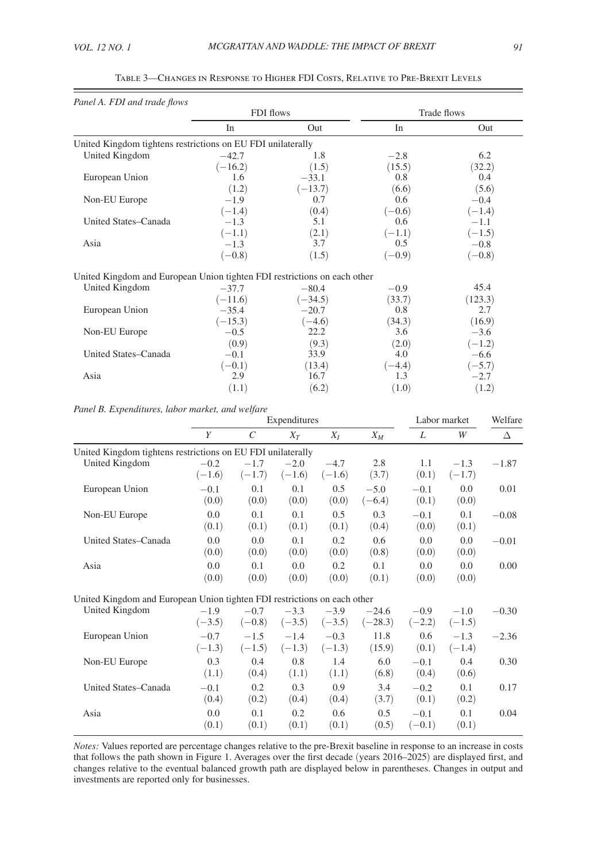<span id="page-15-0"></span>

| Panel A. FDI and trade flows                                             |           |           |             |          |  |  |
|--------------------------------------------------------------------------|-----------|-----------|-------------|----------|--|--|
|                                                                          |           | FDI flows | Trade flows |          |  |  |
|                                                                          | In        | Out       | In          | Out      |  |  |
| United Kingdom tightens restrictions on EU FDI unilaterally              |           |           |             |          |  |  |
| United Kingdom                                                           | $-42.7$   | 1.8       | $-2.8$      | 6.2      |  |  |
|                                                                          | $(-16.2)$ | (1.5)     | (15.5)      | (32.2)   |  |  |
| European Union                                                           | 1.6       | $-33.1$   | 0.8         | 0.4      |  |  |
|                                                                          | (1.2)     | $(-13.7)$ | (6.6)       | (5.6)    |  |  |
| Non-EU Europe                                                            | $-1.9$    | 0.7       | 0.6         | $-0.4$   |  |  |
|                                                                          | $(-1.4)$  | (0.4)     | $(-0.6)$    | $(-1.4)$ |  |  |
| United States-Canada                                                     | $-1.3$    | 5.1       | 0.6         | $-1.1$   |  |  |
|                                                                          | $(-1.1)$  | (2.1)     | $(-1.1)$    | $(-1.5)$ |  |  |
| Asia                                                                     | $-1.3$    | 3.7       | 0.5         | $-0.8$   |  |  |
|                                                                          | $(-0.8)$  | (1.5)     | $(-0.9)$    | $(-0.8)$ |  |  |
| United Kingdom and European Union tighten FDI restrictions on each other |           |           |             |          |  |  |
| United Kingdom                                                           | $-37.7$   | $-80.4$   | $-0.9$      | 45.4     |  |  |
|                                                                          | $(-11.6)$ | $(-34.5)$ | (33.7)      | (123.3)  |  |  |
| European Union                                                           | $-35.4$   | $-20.7$   | 0.8         | 2.7      |  |  |
|                                                                          | $(-15.3)$ | $(-4.6)$  | (34.3)      | (16.9)   |  |  |
| Non-EU Europe                                                            | $-0.5$    | 22.2      | 3.6         | $-3.6$   |  |  |
|                                                                          | (0.9)     | (9.3)     | (2.0)       | $(-1.2)$ |  |  |
| United States-Canada                                                     | $-0.1$    | 33.9      | 4.0         | $-6.6$   |  |  |
|                                                                          | $(-0.1)$  | (13.4)    | $(-4.4)$    | $(-5.7)$ |  |  |
| Asia                                                                     | 2.9       | 16.7      | 1.3         | $-2.7$   |  |  |
|                                                                          | (1.1)     | (6.2)     | (1.0)       | (1.2)    |  |  |

| Table 3—Changes in Response to Higher FDI Costs. Relative to Pre-Brexit Levels |  |  |  |  |
|--------------------------------------------------------------------------------|--|--|--|--|
|--------------------------------------------------------------------------------|--|--|--|--|

*Panel B. Expenditures, labor market, and welfare*

|                                                                          | Expenditures       |                         |                    |                    | Labor market         |                    | Welfare            |         |
|--------------------------------------------------------------------------|--------------------|-------------------------|--------------------|--------------------|----------------------|--------------------|--------------------|---------|
|                                                                          | Y                  | $\mathcal{C}_{0}^{(n)}$ | $X_T$              | $X_I$              | $X_M$                | L                  | W                  | Δ       |
| United Kingdom tightens restrictions on EU FDI unilaterally              |                    |                         |                    |                    |                      |                    |                    |         |
| United Kingdom                                                           | $-0.2$<br>$(-1.6)$ | $-1.7$<br>$(-1.7)$      | $-2.0$<br>$(-1.6)$ | $-4.7$<br>$(-1.6)$ | 2.8<br>(3.7)         | 1.1<br>(0.1)       | $-1.3$<br>$(-1.7)$ | $-1.87$ |
| European Union                                                           | $-0.1$<br>(0.0)    | 0.1<br>(0.0)            | 0.1<br>(0.0)       | 0.5<br>(0.0)       | $-5.0$<br>$(-6.4)$   | $-0.1$<br>(0.1)    | 0.0<br>(0.0)       | 0.01    |
| Non-EU Europe                                                            | 0.0<br>(0.1)       | 0.1<br>(0.1)            | 0.1<br>(0.1)       | 0.5<br>(0.1)       | 0.3<br>(0.4)         | $-0.1$<br>(0.0)    | 0.1<br>(0.1)       | $-0.08$ |
| United States-Canada                                                     | 0.0<br>(0.0)       | 0.0<br>(0.0)            | 0.1<br>(0.0)       | 0.2<br>(0.0)       | 0.6<br>(0.8)         | 0.0<br>(0.0)       | 0.0<br>(0.0)       | $-0.01$ |
| Asia                                                                     | 0.0<br>(0.0)       | 0.1<br>(0.0)            | 0.0<br>(0.0)       | 0.2<br>(0.0)       | 0.1<br>(0.1)         | 0.0<br>(0.0)       | 0.0<br>(0.0)       | 0.00    |
| United Kingdom and European Union tighten FDI restrictions on each other |                    |                         |                    |                    |                      |                    |                    |         |
| United Kingdom                                                           | $-1.9$<br>$(-3.5)$ | $-0.7$<br>$(-0.8)$      | $-3.3$<br>$(-3.5)$ | $-3.9$<br>$(-3.5)$ | $-24.6$<br>$(-28.3)$ | $-0.9$<br>$(-2.2)$ | $-1.0$<br>$(-1.5)$ | $-0.30$ |
| European Union                                                           | $-0.7$<br>$(-1.3)$ | $-1.5$<br>$(-1.5)$      | $-1.4$<br>$(-1.3)$ | $-0.3$<br>$(-1.3)$ | 11.8<br>(15.9)       | 0.6<br>(0.1)       | $-1.3$<br>$(-1.4)$ | $-2.36$ |
| Non-EU Europe                                                            | 0.3<br>(1.1)       | 0.4<br>(0.4)            | 0.8<br>(1.1)       | 1.4<br>(1.1)       | 6.0<br>(6.8)         | $-0.1$<br>(0.4)    | 0.4<br>(0.6)       | 0.30    |
| United States-Canada                                                     | $-0.1$<br>(0.4)    | 0.2<br>(0.2)            | 0.3<br>(0.4)       | 0.9<br>(0.4)       | 3.4<br>(3.7)         | $-0.2$<br>(0.1)    | 0.1<br>(0.2)       | 0.17    |
| Asia                                                                     | 0.0<br>(0.1)       | 0.1<br>(0.1)            | 0.2<br>(0.1)       | 0.6<br>(0.1)       | 0.5<br>(0.5)         | $-0.1$<br>$(-0.1)$ | 0.1<br>(0.1)       | 0.04    |

*Notes:* Values reported are percentage changes relative to the pre-Brexit baseline in response to an increase in costs that follows the path shown in Figure 1. Averages over the first decade (years 2016–2025) are displayed first, and<br>changes relative to the eventual balanced growth path are displayed below in parentheses. Changes in output investments are reported only for businesses.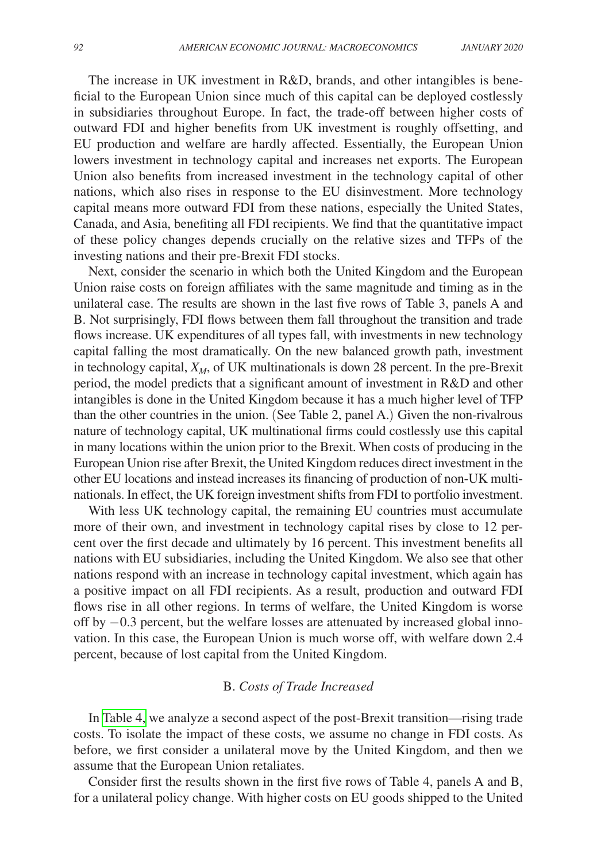The increase in UK investment in R&D, brands, and other intangibles is beneficial to the European Union since much of this capital can be deployed costlessly in subsidiaries throughout Europe. In fact, the trade-off between higher costs of outward FDI and higher benefits from UK investment is roughly offsetting, and EU production and welfare are hardly affected. Essentially, the European Union lowers investment in technology capital and increases net exports. The European Union also benefits from increased investment in the technology capital of other nations, which also rises in response to the EU disinvestment. More technology capital means more outward FDI from these nations, especially the United States, Canada, and Asia, benefiting all FDI recipients. We find that the quantitative impact of these policy changes depends crucially on the relative sizes and TFPs of the investing nations and their pre-Brexit FDI stocks.

Next, consider the scenario in which both the United Kingdom and the European Union raise costs on foreign affiliates with the same magnitude and timing as in the unilateral case. The results are shown in the last five rows of Table 3, panels A and B. Not surprisingly, FDI flows between them fall throughout the transition and trade flows increase. UK expenditures of all types fall, with investments in new technology capital falling the most dramatically. On the new balanced growth path, investment in technology capital,  $X_M$ , of UK multinationals is down 28 percent. In the pre-Brexit period, the model predicts that a significant amount of investment in R&D and other intangibles is done in the United Kingdom because it has a much higher level of TFP than the other countries in the union. (See Table 2, panel A.) Given the non-rivalrous nature of technology capital, UK multinational firms could costlessly use this capital in many locations within the union prior to the Brexit. When costs of producing in the European Union rise after Brexit, the United Kingdom reduces direct investment in the other EU locations and instead increases its financing of production of non-UK multinationals. In effect, the UK foreign investment shifts from FDI to portfolio investment.

With less UK technology capital, the remaining EU countries must accumulate more of their own, and investment in technology capital rises by close to 12 percent over the first decade and ultimately by 16 percent. This investment benefits all nations with EU subsidiaries, including the United Kingdom. We also see that other nations respond with an increase in technology capital investment, which again has a positive impact on all FDI recipients. As a result, production and outward FDI flows rise in all other regions. In terms of welfare, the United Kingdom is worse off by −0.3 percent, but the welfare losses are attenuated by increased global innovation. In this case, the European Union is much worse off, with welfare down 2.4 percent, because of lost capital from the United Kingdom.

# B. *Costs of Trade Increased*

In [Table 4,](#page-17-0) we analyze a second aspect of the post-Brexit transition—rising trade costs. To isolate the impact of these costs, we assume no change in FDI costs. As before, we first consider a unilateral move by the United Kingdom, and then we assume that the European Union retaliates.

Consider first the results shown in the first five rows of Table 4, panels A and B, for a unilateral policy change. With higher costs on EU goods shipped to the United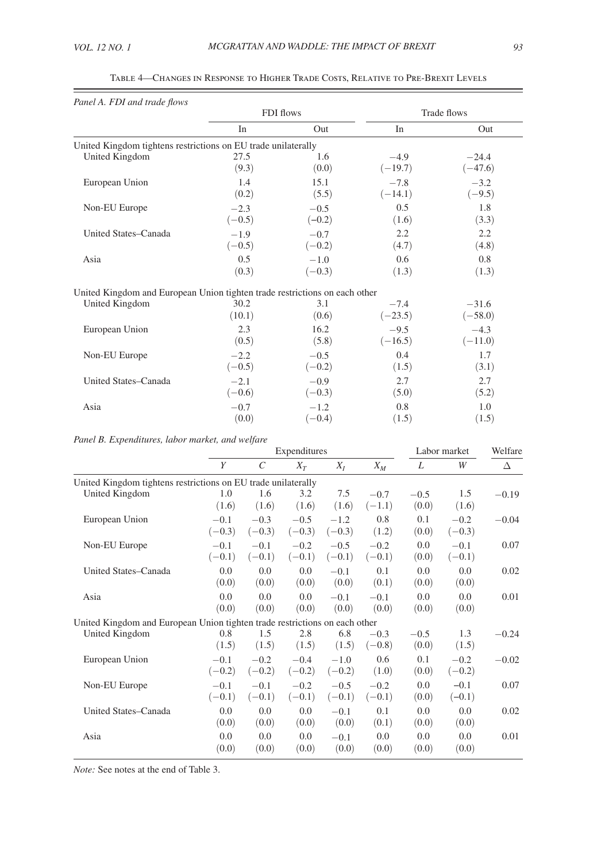<span id="page-17-0"></span> $\equiv$ 

| Panel A. FDI and trade flows                                               |          |           |             |           |  |  |
|----------------------------------------------------------------------------|----------|-----------|-------------|-----------|--|--|
|                                                                            |          | FDI flows | Trade flows |           |  |  |
|                                                                            | In       | Out       | In          | Out       |  |  |
| United Kingdom tightens restrictions on EU trade unilaterally              |          |           |             |           |  |  |
| United Kingdom                                                             | 27.5     | 1.6       | $-4.9$      | $-24.4$   |  |  |
|                                                                            | (9.3)    | (0.0)     | $(-19.7)$   | $(-47.6)$ |  |  |
| European Union                                                             | 1.4      | 15.1      | $-7.8$      | $-3.2$    |  |  |
|                                                                            | (0.2)    | (5.5)     | $(-14.1)$   | $(-9.5)$  |  |  |
| Non-EU Europe                                                              | $-2.3$   | $-0.5$    | 0.5         | 1.8       |  |  |
|                                                                            | $(-0.5)$ | $(-0.2)$  | (1.6)       | (3.3)     |  |  |
| United States-Canada                                                       | $-1.9$   | $-0.7$    | 2.2         | 2.2       |  |  |
|                                                                            | $(-0.5)$ | $(-0.2)$  | (4.7)       | (4.8)     |  |  |
| Asia                                                                       | 0.5      | $-1.0$    | 0.6         | 0.8       |  |  |
|                                                                            | (0.3)    | $(-0.3)$  | (1.3)       | (1.3)     |  |  |
| United Kingdom and European Union tighten trade restrictions on each other |          |           |             |           |  |  |
| United Kingdom                                                             | 30.2     | 3.1       | $-7.4$      | $-31.6$   |  |  |
|                                                                            | (10.1)   | (0.6)     | $(-23.5)$   | $(-58.0)$ |  |  |
| European Union                                                             | 2.3      | 16.2      | $-9.5$      | $-4.3$    |  |  |
|                                                                            | (0.5)    | (5.8)     | $(-16.5)$   | $(-11.0)$ |  |  |
| Non-EU Europe                                                              | $-2.2$   | $-0.5$    | 0.4         | 1.7       |  |  |
|                                                                            | $(-0.5)$ | $(-0.2)$  | (1.5)       | (3.1)     |  |  |
| United States-Canada                                                       | $-2.1$   | $-0.9$    | 2.7         | 2.7       |  |  |
|                                                                            | $(-0.6)$ | $(-0.3)$  | (5.0)       | (5.2)     |  |  |
| Asia                                                                       | $-0.7$   | $-1.2$    | 0.8         | 1.0       |  |  |
|                                                                            | (0.0)    | $(-0.4)$  | (1.5)       | (1.5)     |  |  |

Table 4—Changes in Response to Higher Trade Costs, Relative to Pre-Brexit Levels

*Panel B. Expenditures, labor market, and welfare*

|                                                                            | Expenditures       |                       |                    |                    |                    | Labor market    |                    | Welfare |  |
|----------------------------------------------------------------------------|--------------------|-----------------------|--------------------|--------------------|--------------------|-----------------|--------------------|---------|--|
|                                                                            | Y                  | $\mathcal{C}_{0}^{0}$ | $X_T$              | $X_I$              | $X_M$              | L               | W                  | Δ       |  |
| United Kingdom tightens restrictions on EU trade unilaterally              |                    |                       |                    |                    |                    |                 |                    |         |  |
| United Kingdom                                                             | 1.0<br>(1.6)       | 1.6<br>(1.6)          | 3.2<br>(1.6)       | 7.5<br>(1.6)       | $-0.7$<br>$(-1.1)$ | $-0.5$<br>(0.0) | 1.5<br>(1.6)       | $-0.19$ |  |
| European Union                                                             | $-0.1$<br>$(-0.3)$ | $-0.3$<br>$(-0.3)$    | $-0.5$<br>$(-0.3)$ | $-1.2$<br>$(-0.3)$ | 0.8<br>(1.2)       | 0.1<br>(0.0)    | $-0.2$<br>$(-0.3)$ | $-0.04$ |  |
| Non-EU Europe                                                              | $-0.1$<br>$(-0.1)$ | $-0.1$<br>$(-0.1)$    | $-0.2$<br>$(-0.1)$ | $-0.5$<br>$(-0.1)$ | $-0.2$<br>$(-0.1)$ | 0.0<br>(0.0)    | $-0.1$<br>$(-0.1)$ | 0.07    |  |
| United States-Canada                                                       | 0.0<br>(0.0)       | 0.0<br>(0.0)          | 0.0<br>(0.0)       | $-0.1$<br>(0.0)    | 0.1<br>(0.1)       | 0.0<br>(0.0)    | 0.0<br>(0.0)       | 0.02    |  |
| Asia                                                                       | 0.0<br>(0.0)       | 0.0<br>(0.0)          | 0.0<br>(0.0)       | $-0.1$<br>(0.0)    | $-0.1$<br>(0.0)    | 0.0<br>(0.0)    | 0.0<br>(0.0)       | 0.01    |  |
| United Kingdom and European Union tighten trade restrictions on each other |                    |                       |                    |                    |                    |                 |                    |         |  |
| United Kingdom                                                             | 0.8<br>(1.5)       | 1.5<br>(1.5)          | 2.8<br>(1.5)       | 6.8<br>(1.5)       | $-0.3$<br>$(-0.8)$ | $-0.5$<br>(0.0) | 1.3<br>(1.5)       | $-0.24$ |  |
| European Union                                                             | $-0.1$<br>$(-0.2)$ | $-0.2$<br>$(-0.2)$    | $-0.4$<br>$(-0.2)$ | $-1.0$<br>$(-0.2)$ | 0.6<br>(1.0)       | 0.1<br>(0.0)    | $-0.2$<br>$(-0.2)$ | $-0.02$ |  |
| Non-EU Europe                                                              | $-0.1$<br>$(-0.1)$ | $-0.1$<br>$(-0.1)$    | $-0.2$<br>$(-0.1)$ | $-0.5$<br>$(-0.1)$ | $-0.2$<br>$(-0.1)$ | 0.0<br>(0.0)    | $-0.1$<br>$(-0.1)$ | 0.07    |  |
| United States-Canada                                                       | 0.0<br>(0.0)       | 0.0<br>(0.0)          | 0.0<br>(0.0)       | $-0.1$<br>(0.0)    | 0.1<br>(0.1)       | 0.0<br>(0.0)    | 0.0<br>(0.0)       | 0.02    |  |
| Asia                                                                       | 0.0<br>(0.0)       | 0.0<br>(0.0)          | 0.0<br>(0.0)       | $-0.1$<br>(0.0)    | 0.0<br>(0.0)       | 0.0<br>(0.0)    | 0.0<br>(0.0)       | 0.01    |  |

*Note:* See notes at the end of Table 3.

 $=$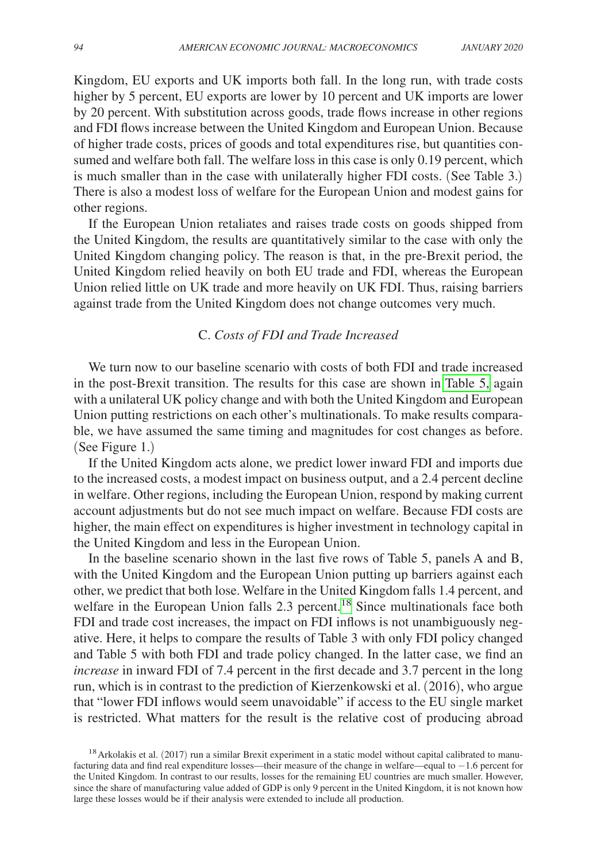Kingdom, EU exports and UK imports both fall. In the long run, with trade costs higher by 5 percent, EU exports are lower by 10 percent and UK imports are lower by 20 percent. With substitution across goods, trade flows increase in other regions and FDI flows increase between the United Kingdom and European Union. Because of higher trade costs, prices of goods and total expenditures rise, but quantities consumed and welfare both fall. The welfare loss in this case is only 0.19 percent, which is much smaller than in the case with unilaterally higher FDI costs. (See Table 3.) There is also a modest loss of welfare for the European Union and modest gains for other regions.

If the European Union retaliates and raises trade costs on goods shipped from the United Kingdom, the results are quantitatively similar to the case with only the United Kingdom changing policy. The reason is that, in the pre-Brexit period, the United Kingdom relied heavily on both EU trade and FDI, whereas the European Union relied little on UK trade and more heavily on UK FDI. Thus, raising barriers against trade from the United Kingdom does not change outcomes very much.

# C. *Costs of FDI and Trade Increased*

We turn now to our baseline scenario with costs of both FDI and trade increased in the post-Brexit transition. The results for this case are shown in [Table 5,](#page-19-0) again with a unilateral UK policy change and with both the United Kingdom and European Union putting restrictions on each other's multinationals. To make results comparable, we have assumed the same timing and magnitudes for cost changes as before. (See Figure 1.)

If the United Kingdom acts alone, we predict lower inward FDI and imports due to the increased costs, a modest impact on business output, and a 2.4 percent decline in welfare. Other regions, including the European Union, respond by making current account adjustments but do not see much impact on welfare. Because FDI costs are higher, the main effect on expenditures is higher investment in technology capital in the United Kingdom and less in the European Union.

In the baseline scenario shown in the last five rows of Table 5, panels A and B, with the United Kingdom and the European Union putting up barriers against each other, we predict that both lose. Welfare in the United Kingdom falls 1.4 percent, and welfare in the European Union falls 2.3 percent.<sup>[18](#page-18-0)</sup> Since multinationals face both FDI and trade cost increases, the impact on FDI inflows is not unambiguously negative. Here, it helps to compare the results of Table 3 with only FDI policy changed and Table 5 with both FDI and trade policy changed. In the latter case, we find an *increase* in inward FDI of 7.4 percent in the first decade and 3.7 percent in the long run, which is in contrast to the prediction of Kierzenkowski et al. (2016), who argue that "lower FDI inflows would seem unavoidable" if access to the EU single market is restricted. What matters for the result is the relative cost of producing abroad

<span id="page-18-0"></span><sup>&</sup>lt;sup>18</sup> Arkolakis et al. (2017) run a similar Brexit experiment in a static model without capital calibrated to manufacturing data and find real expenditure losses—their measure of the change in welfare—equal to −1.6 percent for the United Kingdom. In contrast to our results, losses for the remaining EU countries are much smaller. However, since the share of manufacturing value added of GDP is only 9 percent in the United Kingdom, it is not known how large these losses would be if their analysis were extended to include all production.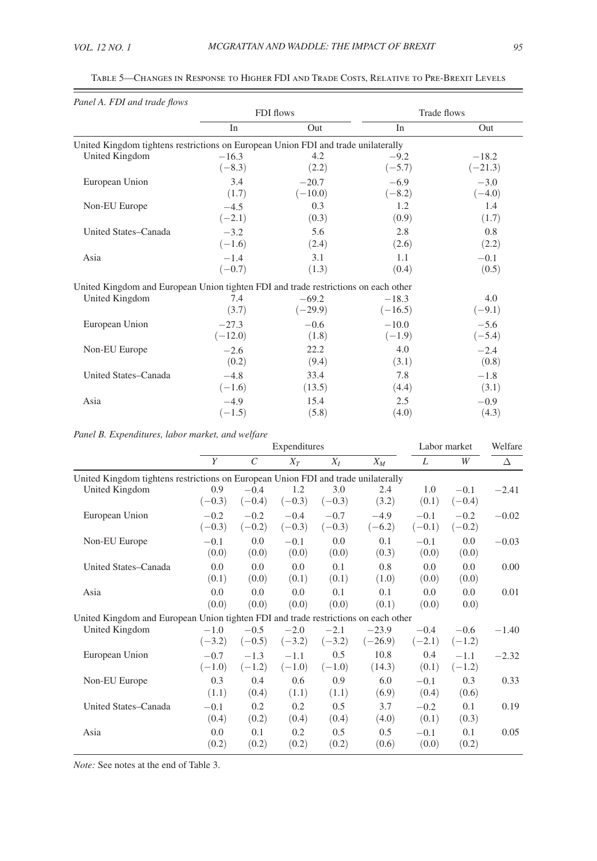<span id="page-19-0"></span> $\equiv$ 

| Panel A. FDI and trade flows                                                       |           |           |           |             |
|------------------------------------------------------------------------------------|-----------|-----------|-----------|-------------|
|                                                                                    |           | FDI flows |           | Trade flows |
|                                                                                    | In        | Out       | In        | Out         |
| United Kingdom tightens restrictions on European Union FDI and trade unilaterally  |           |           |           |             |
| United Kingdom                                                                     | $-16.3$   | 4.2       | $-9.2$    | $-18.2$     |
|                                                                                    | $(-8.3)$  | (2.2)     | $(-5.7)$  | $(-21.3)$   |
| European Union                                                                     | 3.4       | $-20.7$   | $-6.9$    | $-3.0$      |
|                                                                                    | (1.7)     | $(-10.0)$ | $(-8.2)$  | $(-4.0)$    |
| Non-EU Europe                                                                      | $-4.5$    | 0.3       | 1.2       | 1.4         |
|                                                                                    | $(-2.1)$  | (0.3)     | (0.9)     | (1.7)       |
| United States-Canada                                                               | $-3.2$    | 5.6       | 2.8       | 0.8         |
|                                                                                    | $(-1.6)$  | (2.4)     | (2.6)     | (2.2)       |
| Asia                                                                               | $-1.4$    | 3.1       | 1.1       | $-0.1$      |
|                                                                                    | $(-0.7)$  | (1.3)     | (0.4)     | (0.5)       |
| United Kingdom and European Union tighten FDI and trade restrictions on each other |           |           |           |             |
| United Kingdom                                                                     | 7.4       | $-69.2$   | $-18.3$   | 4.0         |
|                                                                                    | (3.7)     | $(-29.9)$ | $(-16.5)$ | $(-9.1)$    |
| European Union                                                                     | $-27.3$   | $-0.6$    | $-10.0$   | $-5.6$      |
|                                                                                    | $(-12.0)$ | (1.8)     | $(-1.9)$  | $(-5.4)$    |
| Non-EU Europe                                                                      | $-2.6$    | 22.2      | 4.0       | $-2.4$      |
|                                                                                    | (0.2)     | (9.4)     | (3.1)     | (0.8)       |
| United States-Canada                                                               | $-4.8$    | 33.4      | 7.8       | $-1.8$      |
|                                                                                    | $(-1.6)$  | (13.5)    | (4.4)     | (3.1)       |
| Asia                                                                               | $-4.9$    | 15.4      | 2.5       | $-0.9$      |
|                                                                                    | $(-1.5)$  | (5.8)     | (4.0)     | (4.3)       |

Table 5—Changes in Response to Higher FDI and Trade Costs, Relative to Pre-Brexit Levels

*Panel B. Expenditures, labor market, and welfare*

|                                                                                    | Expenditures       |                    |                    |                    | Labor market         |                    | Welfare            |         |
|------------------------------------------------------------------------------------|--------------------|--------------------|--------------------|--------------------|----------------------|--------------------|--------------------|---------|
|                                                                                    | Y                  | C                  | $X_T$              | $X_I$              | $X_M$                | L                  | W                  | Δ       |
| United Kingdom tightens restrictions on European Union FDI and trade unilaterally  |                    |                    |                    |                    |                      |                    |                    |         |
| United Kingdom                                                                     | 0.9<br>$(-0.3)$    | $-0.4$<br>$(-0.4)$ | 1.2<br>$(-0.3)$    | 3.0<br>$(-0.3)$    | 2.4<br>(3.2)         | 1.0<br>(0.1)       | $-0.1$<br>$(-0.4)$ | $-2.41$ |
| European Union                                                                     | $-0.2$<br>$(-0.3)$ | $-0.2$<br>$(-0.2)$ | $-0.4$<br>$(-0.3)$ | $-0.7$<br>$(-0.3)$ | $-4.9$<br>$(-6.2)$   | $-0.1$<br>$(-0.1)$ | $-0.2$<br>$(-0.2)$ | $-0.02$ |
| Non-EU Europe                                                                      | $-0.1$<br>(0.0)    | 0.0<br>(0.0)       | $-0.1$<br>(0.0)    | 0.0<br>(0.0)       | 0.1<br>(0.3)         | $-0.1$<br>(0.0)    | 0.0<br>(0.0)       | $-0.03$ |
| United States-Canada                                                               | 0.0<br>(0.1)       | 0.0<br>(0.0)       | 0.0<br>(0.1)       | 0.1<br>(0.1)       | 0.8<br>(1.0)         | 0.0<br>(0.0)       | 0.0<br>(0.0)       | 0.00    |
| Asia                                                                               | 0.0<br>(0.0)       | 0.0<br>(0.0)       | 0.0<br>(0.0)       | 0.1<br>(0.0)       | 0.1<br>(0.1)         | 0.0<br>(0.0)       | 0.0<br>(0.0)       | 0.01    |
| United Kingdom and European Union tighten FDI and trade restrictions on each other |                    |                    |                    |                    |                      |                    |                    |         |
| United Kingdom                                                                     | $-1.0$<br>$(-3.2)$ | $-0.5$<br>$(-0.5)$ | $-2.0$<br>$(-3.2)$ | $-2.1$<br>$(-3.2)$ | $-23.9$<br>$(-26.9)$ | $-0.4$<br>$(-2.1)$ | $-0.6$<br>$(-1.2)$ | $-1.40$ |
| European Union                                                                     | $-0.7$<br>$(-1.0)$ | $-1.3$<br>$(-1.2)$ | $-1.1$<br>$(-1.0)$ | 0.5<br>$(-1.0)$    | 10.8<br>(14.3)       | 0.4<br>(0.1)       | $-1.1$<br>$(-1.2)$ | $-2.32$ |
| Non-EU Europe                                                                      | 0.3<br>(1.1)       | 0.4<br>(0.4)       | 0.6<br>(1.1)       | 0.9<br>(1.1)       | 6.0<br>(6.9)         | $-0.1$<br>(0.4)    | 0.3<br>(0.6)       | 0.33    |
| United States-Canada                                                               | $-0.1$<br>(0.4)    | 0.2<br>(0.2)       | 0.2<br>(0.4)       | 0.5<br>(0.4)       | 3.7<br>(4.0)         | $-0.2$<br>(0.1)    | 0.1<br>(0.3)       | 0.19    |
| Asia                                                                               | 0.0<br>(0.2)       | 0.1<br>(0.2)       | 0.2<br>(0.2)       | 0.5<br>(0.2)       | 0.5<br>(0.6)         | $-0.1$<br>(0.0)    | 0.1<br>(0.2)       | 0.05    |

*Note:* See notes at the end of Table 3.

 $=$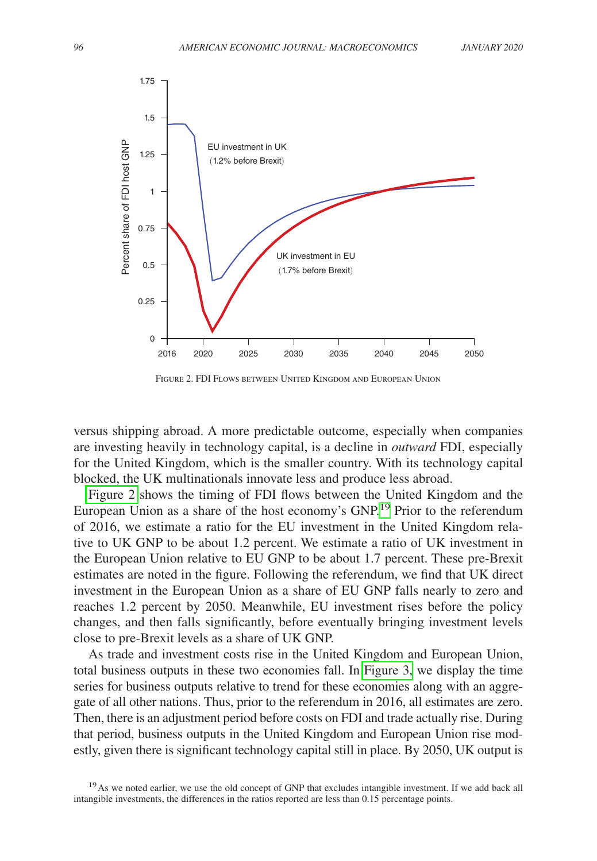

Figure 2. FDI Flows between United Kingdom and European Union

versus shipping abroad. A more predictable outcome, especially when companies are investing heavily in technology capital, is a decline in *outward* FDI, especially for the United Kingdom, which is the smaller country. With its technology capital blocked, the UK multinationals innovate less and produce less abroad.

Figure 2 shows the timing of FDI flows between the United Kingdom and the European Union as a share of the host economy's GNP[.19](#page-20-0) Prior to the referendum of 2016, we estimate a ratio for the EU investment in the United Kingdom relative to UK GNP to be about 1.2 percent. We estimate a ratio of UK investment in the European Union relative to EU GNP to be about 1.7 percent. These pre-Brexit estimates are noted in the figure. Following the referendum, we find that UK direct investment in the European Union as a share of EU GNP falls nearly to zero and reaches 1.2 percent by 2050. Meanwhile, EU investment rises before the policy changes, and then falls significantly, before eventually bringing investment levels close to pre-Brexit levels as a share of UK GNP.

As trade and investment costs rise in the United Kingdom and European Union, total business outputs in these two economies fall. In [Figure 3,](#page-21-0) we display the time series for business outputs relative to trend for these economies along with an aggregate of all other nations. Thus, prior to the referendum in 2016, all estimates are zero. Then, there is an adjustment period before costs on FDI and trade actually rise. During that period, business outputs in the United Kingdom and European Union rise modestly, given there is significant technology capital still in place. By 2050, UK output is

<span id="page-20-0"></span><sup>19</sup>As we noted earlier, we use the old concept of GNP that excludes intangible investment. If we add back all intangible investments, the differences in the ratios reported are less than 0.15 percentage points.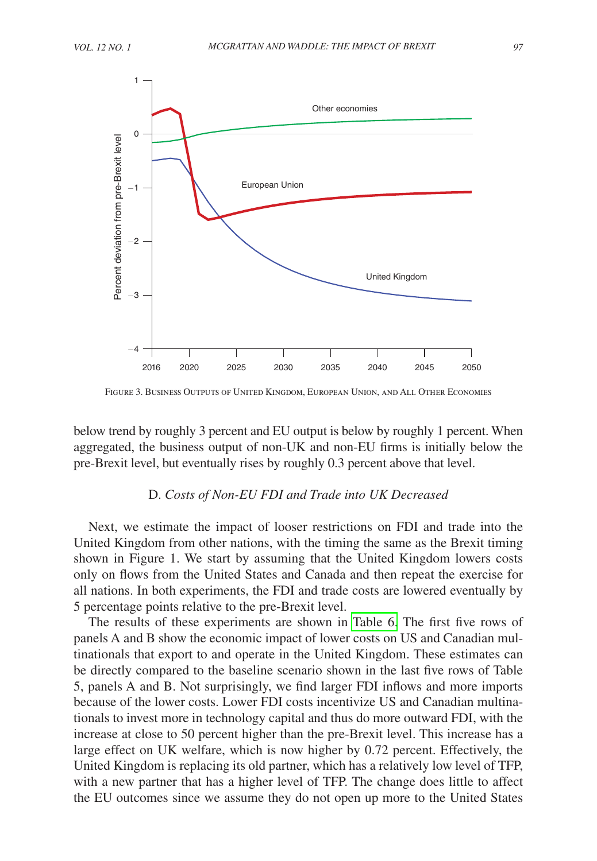<span id="page-21-0"></span>

Figure 3. Business Outputs of United Kingdom, European Union, and All Other Economies

below trend by roughly 3 percent and EU output is below by roughly 1 percent. When aggregated, the business output of non-UK and non-EU firms is initially below the pre-Brexit level, but eventually rises by roughly 0.3 percent above that level.

#### D. *Costs of Non-EU FDI and Trade into UK Decreased*

Next, we estimate the impact of looser restrictions on FDI and trade into the United Kingdom from other nations, with the timing the same as the Brexit timing shown in Figure 1. We start by assuming that the United Kingdom lowers costs only on flows from the United States and Canada and then repeat the exercise for all nations. In both experiments, the FDI and trade costs are lowered eventually by 5 percentage points relative to the pre-Brexit level.

The results of these experiments are shown in [Table 6.](#page-22-0) The first five rows of panels A and B show the economic impact of lower costs on US and Canadian multinationals that export to and operate in the United Kingdom. These estimates can be directly compared to the baseline scenario shown in the last five rows of Table 5, panels A and B. Not surprisingly, we find larger FDI inflows and more imports because of the lower costs. Lower FDI costs incentivize US and Canadian multinationals to invest more in technology capital and thus do more outward FDI, with the increase at close to 50 percent higher than the pre-Brexit level. This increase has a large effect on UK welfare, which is now higher by 0.72 percent. Effectively, the United Kingdom is replacing its old partner, which has a relatively low level of TFP, with a new partner that has a higher level of TFP. The change does little to affect the EU outcomes since we assume they do not open up more to the United States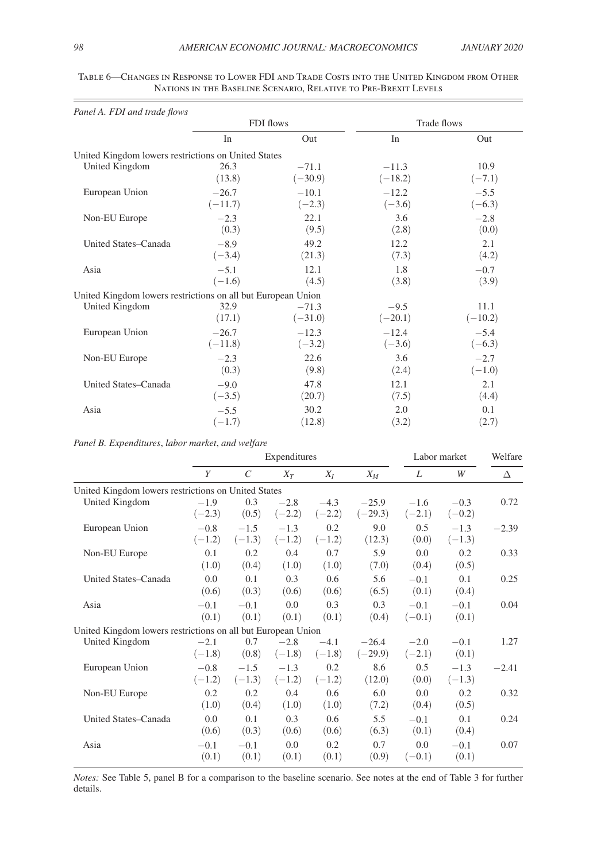| Panel A. FDI and trade flows                                 |           |           |           |             |
|--------------------------------------------------------------|-----------|-----------|-----------|-------------|
|                                                              |           | FDI flows |           | Trade flows |
|                                                              | In        | Out       | In        | Out         |
| United Kingdom lowers restrictions on United States          |           |           |           |             |
| United Kingdom                                               | 26.3      | $-71.1$   | $-11.3$   | 10.9        |
|                                                              | (13.8)    | $(-30.9)$ | $(-18.2)$ | $(-7.1)$    |
| European Union                                               | $-26.7$   | $-10.1$   | $-12.2$   | $-5.5$      |
|                                                              | $(-11.7)$ | $(-2.3)$  | $(-3.6)$  | $(-6.3)$    |
| Non-EU Europe                                                | $-2.3$    | 22.1      | 3.6       | $-2.8$      |
|                                                              | (0.3)     | (9.5)     | (2.8)     | (0.0)       |
| United States-Canada                                         | $-8.9$    | 49.2      | 12.2      | 2.1         |
|                                                              | $(-3.4)$  | (21.3)    | (7.3)     | (4.2)       |
| Asia                                                         | $-5.1$    | 12.1      | 1.8       | $-0.7$      |
|                                                              | $(-1.6)$  | (4.5)     | (3.8)     | (3.9)       |
| United Kingdom lowers restrictions on all but European Union |           |           |           |             |
| United Kingdom                                               | 32.9      | $-71.3$   | $-9.5$    | 11.1        |
|                                                              | (17.1)    | $(-31.0)$ | $(-20.1)$ | $(-10.2)$   |
| European Union                                               | $-26.7$   | $-12.3$   | $-12.4$   | $-5.4$      |
|                                                              | $(-11.8)$ | $(-3.2)$  | $(-3.6)$  | $(-6.3)$    |
| Non-EU Europe                                                | $-2.3$    | 22.6      | 3.6       | $-2.7$      |
|                                                              | (0.3)     | (9.8)     | (2.4)     | $(-1.0)$    |
| United States-Canada                                         | $-9.0$    | 47.8      | 12.1      | 2.1         |
|                                                              | $(-3.5)$  | (20.7)    | (7.5)     | (4.4)       |
| Asia                                                         | $-5.5$    | 30.2      | 2.0       | 0.1         |
|                                                              | $(-1.7)$  | (12.8)    | (3.2)     | (2.7)       |

<span id="page-22-0"></span>

| TABLE 6—CHANGES IN RESPONSE TO LOWER FDI AND TRADE COSTS INTO THE UNITED KINGDOM FROM OTHER |
|---------------------------------------------------------------------------------------------|
| NATIONS IN THE BASELINE SCENARIO, RELATIVE TO PRE-BREXIT LEVELS                             |

*Panel B. Expenditures*, *labor market*, *and welfare*

|                                                              | Expenditures       |                         |                    |                    | Labor market         | Welfare            |                    |         |
|--------------------------------------------------------------|--------------------|-------------------------|--------------------|--------------------|----------------------|--------------------|--------------------|---------|
|                                                              | Y                  | $\mathcal{C}_{0}^{(n)}$ | $X_T$              | $X_I$              | $X_M$                | L                  | W                  | Δ       |
| United Kingdom lowers restrictions on United States          |                    |                         |                    |                    |                      |                    |                    |         |
| United Kingdom                                               | $-1.9$<br>$(-2.3)$ | 0.3<br>(0.5)            | $-2.8$<br>$(-2.2)$ | $-4.3$<br>$(-2.2)$ | $-25.9$<br>$(-29.3)$ | $-1.6$<br>$(-2.1)$ | $-0.3$<br>$(-0.2)$ | 0.72    |
| European Union                                               | $-0.8$<br>$(-1.2)$ | $-1.5$<br>$(-1.3)$      | $-1.3$<br>$(-1.2)$ | 0.2<br>$(-1.2)$    | 9.0<br>(12.3)        | 0.5<br>(0.0)       | $-1.3$<br>$(-1.3)$ | $-2.39$ |
| Non-EU Europe                                                | 0.1<br>(1.0)       | 0.2<br>(0.4)            | 0.4<br>(1.0)       | 0.7<br>(1.0)       | 5.9<br>(7.0)         | 0.0<br>(0.4)       | 0.2<br>(0.5)       | 0.33    |
| United States-Canada                                         | 0.0<br>(0.6)       | 0.1<br>(0.3)            | 0.3<br>(0.6)       | 0.6<br>(0.6)       | 5.6<br>(6.5)         | $-0.1$<br>(0.1)    | 0.1<br>(0.4)       | 0.25    |
| Asia                                                         | $-0.1$<br>(0.1)    | $-0.1$<br>(0.1)         | 0.0<br>(0.1)       | 0.3<br>(0.1)       | 0.3<br>(0.4)         | $-0.1$<br>$(-0.1)$ | $-0.1$<br>(0.1)    | 0.04    |
| United Kingdom lowers restrictions on all but European Union |                    |                         |                    |                    |                      |                    |                    |         |
| United Kingdom                                               | $-2.1$<br>$(-1.8)$ | 0.7<br>(0.8)            | $-2.8$<br>$(-1.8)$ | $-4.1$<br>$(-1.8)$ | $-26.4$<br>$(-29.9)$ | $-2.0$<br>$(-2.1)$ | $-0.1$<br>(0.1)    | 1.27    |
| European Union                                               | $-0.8$<br>$(-1.2)$ | $-1.5$<br>$(-1.3)$      | $-1.3$<br>$(-1.2)$ | 0.2<br>$(-1.2)$    | 8.6<br>(12.0)        | 0.5<br>(0.0)       | $-1.3$<br>$(-1.3)$ | $-2.41$ |
| Non-EU Europe                                                | 0.2<br>(1.0)       | 0.2<br>(0.4)            | 0.4<br>(1.0)       | 0.6<br>(1.0)       | 6.0<br>(7.2)         | 0.0<br>(0.4)       | 0.2<br>(0.5)       | 0.32    |
| United States-Canada                                         | 0.0<br>(0.6)       | 0.1<br>(0.3)            | 0.3<br>(0.6)       | 0.6<br>(0.6)       | 5.5<br>(6.3)         | $-0.1$<br>(0.1)    | 0.1<br>(0.4)       | 0.24    |
| Asia                                                         | $-0.1$<br>(0.1)    | $-0.1$<br>(0.1)         | 0.0<br>(0.1)       | 0.2<br>(0.1)       | 0.7<br>(0.9)         | 0.0<br>$(-0.1)$    | $-0.1$<br>(0.1)    | 0.07    |

*Notes:* See Table 5, panel B for a comparison to the baseline scenario. See notes at the end of Table 3 for further details.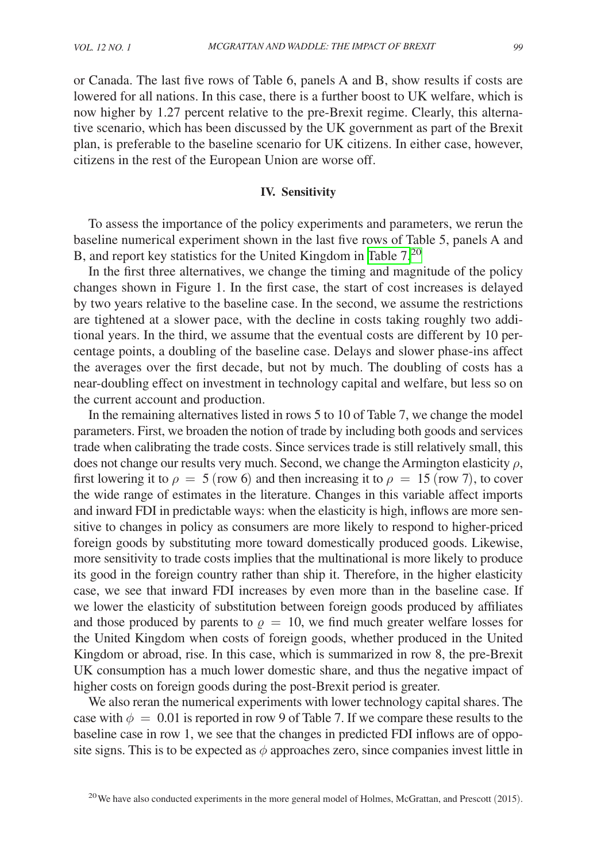or Canada. The last five rows of Table 6, panels A and B, show results if costs are lowered for all nations. In this case, there is a further boost to UK welfare, which is now higher by 1.27 percent relative to the pre-Brexit regime. Clearly, this alternative scenario, which has been discussed by the UK government as part of the Brexit plan, is preferable to the baseline scenario for UK citizens. In either case, however, citizens in the rest of the European Union are worse off.

#### **IV. Sensitivity**

To assess the importance of the policy experiments and parameters, we rerun the baseline numerical experiment shown in the last five rows of Table 5, panels A and B, and report key statistics for the United Kingdom in Table  $7<sup>20</sup>$  $7<sup>20</sup>$  $7<sup>20</sup>$ 

In the first three alternatives, we change the timing and magnitude of the policy changes shown in Figure 1. In the first case, the start of cost increases is delayed by two years relative to the baseline case. In the second, we assume the restrictions are tightened at a slower pace, with the decline in costs taking roughly two additional years. In the third, we assume that the eventual costs are different by 10 percentage points, a doubling of the baseline case. Delays and slower phase-ins affect the averages over the first decade, but not by much. The doubling of costs has a near-doubling effect on investment in technology capital and welfare, but less so on the current account and production.

In the remaining alternatives listed in rows 5 to 10 of Table 7, we change the model parameters. First, we broaden the notion of trade by including both goods and services trade when calibrating the trade costs. Since services trade is still relatively small, this does not change our results very much. Second, we change the Armington elasticity  $\rho$ , first lowering it to  $\rho = 5$  (row 6) and then increasing it to  $\rho = 15$  (row 7), to cover the wide range of estimates in the literature. Changes in this variable affect imports and inward FDI in predictable ways: when the elasticity is high, inflows are more sensitive to changes in policy as consumers are more likely to respond to higher-priced foreign goods by substituting more toward domestically produced goods. Likewise, more sensitivity to trade costs implies that the multinational is more likely to produce its good in the foreign country rather than ship it. Therefore, in the higher elasticity case, we see that inward FDI increases by even more than in the baseline case. If we lower the elasticity of substitution between foreign goods produced by affiliates and those produced by parents to  $\rho = 10$ , we find much greater welfare losses for the United Kingdom when costs of foreign goods, whether produced in the United Kingdom or abroad, rise. In this case, which is summarized in row 8, the pre-Brexit UK consumption has a much lower domestic share, and thus the negative impact of higher costs on foreign goods during the post-Brexit period is greater.

We also reran the numerical experiments with lower technology capital shares. The case with  $\phi = 0.01$  is reported in row 9 of Table 7. If we compare these results to the baseline case in row 1, we see that the changes in predicted FDI inflows are of opposite signs. This is to be expected as  $\phi$  approaches zero, since companies invest little in

<span id="page-23-0"></span><sup>&</sup>lt;sup>20</sup>We have also conducted experiments in the more general model of Holmes, McGrattan, and Prescott (2015).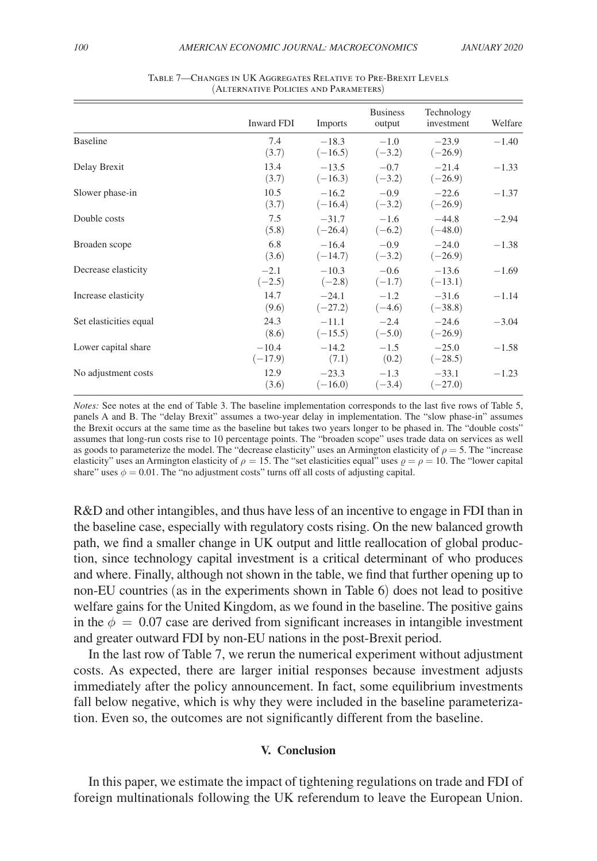<span id="page-24-0"></span>

|                        | <b>Inward FDI</b>    | <b>Imports</b>       | <b>Business</b><br>output | Technology<br>investment | Welfare |
|------------------------|----------------------|----------------------|---------------------------|--------------------------|---------|
| <b>Baseline</b>        | 7.4<br>(3.7)         | $-18.3$<br>$(-16.5)$ | $-1.0$<br>$(-3.2)$        | $-23.9$<br>$(-26.9)$     | $-1.40$ |
| Delay Brexit           | 13.4<br>(3.7)        | $-13.5$<br>$(-16.3)$ | $-0.7$<br>$(-3.2)$        | $-21.4$<br>$(-26.9)$     | $-1.33$ |
| Slower phase-in        | 10.5<br>(3.7)        | $-16.2$<br>$(-16.4)$ | $-0.9$<br>$(-3.2)$        | $-22.6$<br>$(-26.9)$     | $-1.37$ |
| Double costs           | 7.5<br>(5.8)         | $-31.7$<br>$(-26.4)$ | $-1.6$<br>$(-6.2)$        | $-44.8$<br>$(-48.0)$     | $-2.94$ |
| Broaden scope          | 6.8<br>(3.6)         | $-16.4$<br>$(-14.7)$ | $-0.9$<br>$(-3.2)$        | $-24.0$<br>$(-26.9)$     | $-1.38$ |
| Decrease elasticity    | $-2.1$<br>$(-2.5)$   | $-10.3$<br>$(-2.8)$  | $-0.6$<br>$(-1.7)$        | $-13.6$<br>$(-13.1)$     | $-1.69$ |
| Increase elasticity    | 14.7<br>(9.6)        | $-24.1$<br>$(-27.2)$ | $-1.2$<br>$(-4.6)$        | $-31.6$<br>$(-38.8)$     | $-1.14$ |
| Set elasticities equal | 24.3<br>(8.6)        | $-11.1$<br>$(-15.5)$ | $-2.4$<br>$(-5.0)$        | $-24.6$<br>$(-26.9)$     | $-3.04$ |
| Lower capital share    | $-10.4$<br>$(-17.9)$ | $-14.2$<br>(7.1)     | $-1.5$<br>(0.2)           | $-25.0$<br>$(-28.5)$     | $-1.58$ |
| No adjustment costs    | 12.9<br>(3.6)        | $-23.3$<br>$(-16.0)$ | $-1.3$<br>$(-3.4)$        | $-33.1$<br>$(-27.0)$     | $-1.23$ |

| TABLE 7—CHANGES IN UK AGGREGATES RELATIVE TO PRE-BREXIT LEVELS |
|----------------------------------------------------------------|
| (ALTERNATIVE POLICIES AND PARAMETERS)                          |

*Notes:* See notes at the end of Table 3. The baseline implementation corresponds to the last five rows of Table 5, panels A and B. The "delay Brexit" assumes a two-year delay in implementation. The "slow phase-in" assumes the Brexit occurs at the same time as the baseline but takes two years longer to be phased in. The "double costs" assumes that long-run costs rise to 10 percentage points. The "broaden scope" uses trade data on services as well as goods to parameterize the model. The "decrease elasticity" uses an Armington elasticity of  $\rho = 5$ . The "increase" elasticity" uses an Armington elasticity of  $\rho = 15$ . The "set elasticities equal" uses  $\rho = \rho = 10$ . The "lower capital" share" uses  $\phi = 0.01$ . The "no adjustment costs" turns off all costs of adjusting capital.

R&D and other intangibles, and thus have less of an incentive to engage in FDI than in the baseline case, especially with regulatory costs rising. On the new balanced growth path, we find a smaller change in UK output and little reallocation of global production, since technology capital investment is a critical determinant of who produces and where. Finally, although not shown in the table, we find that further opening up to non-EU countries (as in the experiments shown in Table 6) does not lead to positive welfare gains for the United Kingdom, as we found in the baseline. The positive gains in the  $\phi = 0.07$  case are derived from significant increases in intangible investment and greater outward FDI by non-EU nations in the post-Brexit period.

In the last row of Table 7, we rerun the numerical experiment without adjustment costs. As expected, there are larger initial responses because investment adjusts immediately after the policy announcement. In fact, some equilibrium investments fall below negative, which is why they were included in the baseline parameterization. Even so, the outcomes are not significantly different from the baseline.

#### **V. Conclusion**

In this paper, we estimate the impact of tightening regulations on trade and FDI of foreign multinationals following the UK referendum to leave the European Union.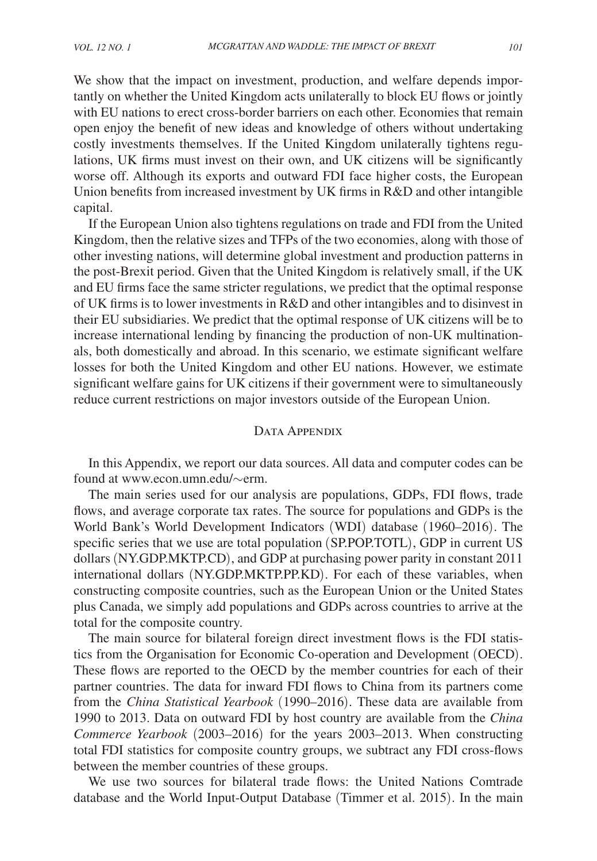We show that the impact on investment, production, and welfare depends importantly on whether the United Kingdom acts unilaterally to block EU flows or jointly with EU nations to erect cross-border barriers on each other. Economies that remain open enjoy the benefit of new ideas and knowledge of others without undertaking costly investments themselves. If the United Kingdom unilaterally tightens regulations, UK firms must invest on their own, and UK citizens will be significantly worse off. Although its exports and outward FDI face higher costs, the European Union benefits from increased investment by UK firms in R&D and other intangible capital.

If the European Union also tightens regulations on trade and FDI from the United Kingdom, then the relative sizes and TFPs of the two economies, along with those of other investing nations, will determine global investment and production patterns in the post-Brexit period. Given that the United Kingdom is relatively small, if the UK and EU firms face the same stricter regulations, we predict that the optimal response of UK firms is to lower investments in R&D and other intangibles and to disinvest in their EU subsidiaries. We predict that the optimal response of UK citizens will be to increase international lending by financing the production of non-UK multinationals, both domestically and abroad. In this scenario, we estimate significant welfare losses for both the United Kingdom and other EU nations. However, we estimate significant welfare gains for UK citizens if their government were to simultaneously reduce current restrictions on major investors outside of the European Union.

#### DATA APPENDIX

In this Appendix, we report our data sources. All data and computer codes can be found at www.econ.umn.edu/∼erm.

The main series used for our analysis are populations, GDPs, FDI flows, trade flows, and average corporate tax rates. The source for populations and GDPs is the World Bank's World Development Indicators (WDI) database (1960–2016). The specific series that we use are total population (SP.POP.TOTL), GDP in current US dollars (NY.GDP.MKTP.CD), and GDP at purchasing power parity in constant 2011 international dollars (NY.GDP.MKTP.PP.KD). For each of these variables, when constructing composite countries, such as the European Union or the United States plus Canada, we simply add populations and GDPs across countries to arrive at the total for the composite country.

The main source for bilateral foreign direct investment flows is the FDI statistics from the Organisation for Economic Co-operation and Development (OECD). These flows are reported to the OECD by the member countries for each of their partner countries. The data for inward FDI flows to China from its partners come from the *China Statistical Yearbook* (1990–2016). These data are available from 1990 to 2013. Data on outward FDI by host country are available from the *China Commerce Yearbook* (2003–2016) for the years 2003–2013. When constructing total FDI statistics for composite country groups, we subtract any FDI cross-flows between the member countries of these groups.

We use two sources for bilateral trade flows: the United Nations Comtrade database and the World Input-Output Database (Timmer et al. 2015). In the main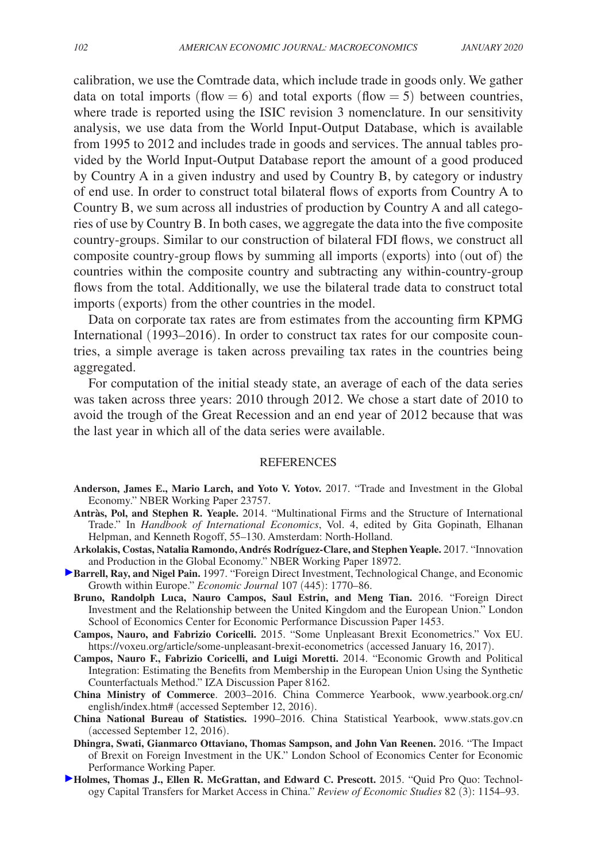calibration, we use the Comtrade data, which include trade in goods only. We gather data on total imports (flow = 6) and total exports (flow = 5) between countries, where trade is reported using the ISIC revision 3 nomenclature. In our sensitivity analysis, we use data from the World Input-Output Database, which is available from 1995 to 2012 and includes trade in goods and services. The annual tables provided by the World Input-Output Database report the amount of a good produced by Country A in a given industry and used by Country B, by category or industry of end use. In order to construct total bilateral flows of exports from Country A to Country B, we sum across all industries of production by Country A and all categories of use by Country B. In both cases, we aggregate the data into the five composite country-groups. Similar to our construction of bilateral FDI flows, we construct all composite country-group flows by summing all imports (exports) into (out of) the countries within the composite country and subtracting any within-country-group flows from the total. Additionally, we use the bilateral trade data to construct total imports (exports) from the other countries in the model.

Data on corporate tax rates are from estimates from the accounting firm KPMG International (1993–2016). In order to construct tax rates for our composite countries, a simple average is taken across prevailing tax rates in the countries being aggregated.

For computation of the initial steady state, an average of each of the data series was taken across three years: 2010 through 2012. We chose a start date of 2010 to avoid the trough of the Great Recession and an end year of 2012 because that was the last year in which all of the data series were available.

#### **REFERENCES**

- **Anderson, James E., Mario Larch, and Yoto V. Yotov.** 2017. "Trade and Investment in the Global Economy." NBER Working Paper 23757.
- **Antràs, Pol, and Stephen R. Yeaple.** 2014. "Multinational Firms and the Structure of International Trade." In *Handbook of International Economics*, Vol. 4, edited by Gita Gopinath, Elhanan Helpman, and Kenneth Rogoff, 55–130. Amsterdam: North-Holland.
- **Arkolakis, Costas, Natalia Ramondo, Andrés Rodríguez-Clare, and Stephen Yeaple.** 2017. "Innovation and Production in the Global Economy." NBER Working Paper 18972.
- **Barrell, Ray, and Nigel Pain.** 1997. "Foreign Direct Investment, Technological Change, and Economic Growth within Europe." *Economic Journal* 107 (445): 1770–86.
	- **Bruno, Randolph Luca, Nauro Campos, Saul Estrin, and Meng Tian.** 2016. "Foreign Direct Investment and the Relationship between the United Kingdom and the European Union." London School of Economics Center for Economic Performance Discussion Paper 1453.
	- **Campos, Nauro, and Fabrizio Coricelli.** 2015. "Some Unpleasant Brexit Econometrics." Vox EU. <https://voxeu.org/article/some-unpleasant-brexit-econometrics> (accessed January 16, 2017).
	- **Campos, Nauro F., Fabrizio Coricelli, and Luigi Moretti.** 2014. "Economic Growth and Political Integration: Estimating the Benefits from Membership in the European Union Using the Synthetic Counterfactuals Method." IZA Discussion Paper 8162.
	- **China Ministry of Commerce**. 2003–2016. China Commerce Yearbook, [www.yearbook.org.cn/](http://www.yearbook.org.cn/english/index.htm#) [english/index.htm#](http://www.yearbook.org.cn/english/index.htm#) (accessed September 12, 2016).
	- **China National Bureau of Statistics.** 1990–2016. China Statistical Yearbook, [www.stats.gov.cn](http://www.stats.gov.cn)  (accessed September 12, 2016).
	- **Dhingra, Swati, Gianmarco Ottaviano, Thomas Sampson, and John Van Reenen.** 2016. "The Impact of Brexit on Foreign Investment in the UK." London School of Economics Center for Economic Performance Working Paper.
- **Holmes, Thomas J., Ellen R. McGrattan, and Edward C. Prescott.** 2015. "Quid Pro Quo: Technology Capital Transfers for Market Access in China." *Review of Economic Studies* 82 (3): 1154–93.